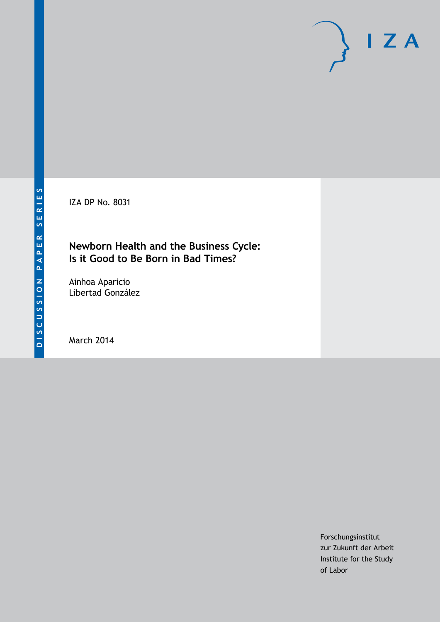IZA DP No. 8031

### **Newborn Health and the Business Cycle: Is it Good to Be Born in Bad Times?**

Ainhoa Aparicio Libertad González

March 2014

Forschungsinstitut zur Zukunft der Arbeit Institute for the Study of Labor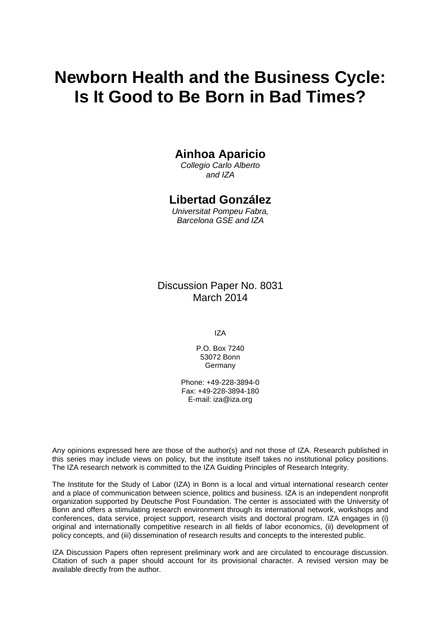# **Newborn Health and the Business Cycle: Is It Good to Be Born in Bad Times?**

### **Ainhoa Aparicio**

*Collegio Carlo Alberto and IZA*

### **Libertad González**

*Universitat Pompeu Fabra, Barcelona GSE and IZA*

Discussion Paper No. 8031 March 2014

IZA

P.O. Box 7240 53072 Bonn Germany

Phone: +49-228-3894-0 Fax: +49-228-3894-180 E-mail: [iza@iza.org](mailto:iza@iza.org)

Any opinions expressed here are those of the author(s) and not those of IZA. Research published in this series may include views on policy, but the institute itself takes no institutional policy positions. The IZA research network is committed to the IZA Guiding Principles of Research Integrity.

The Institute for the Study of Labor (IZA) in Bonn is a local and virtual international research center and a place of communication between science, politics and business. IZA is an independent nonprofit organization supported by Deutsche Post Foundation. The center is associated with the University of Bonn and offers a stimulating research environment through its international network, workshops and conferences, data service, project support, research visits and doctoral program. IZA engages in (i) original and internationally competitive research in all fields of labor economics, (ii) development of policy concepts, and (iii) dissemination of research results and concepts to the interested public.

<span id="page-1-0"></span>IZA Discussion Papers often represent preliminary work and are circulated to encourage discussion. Citation of such a paper should account for its provisional character. A revised version may be available directly from the author.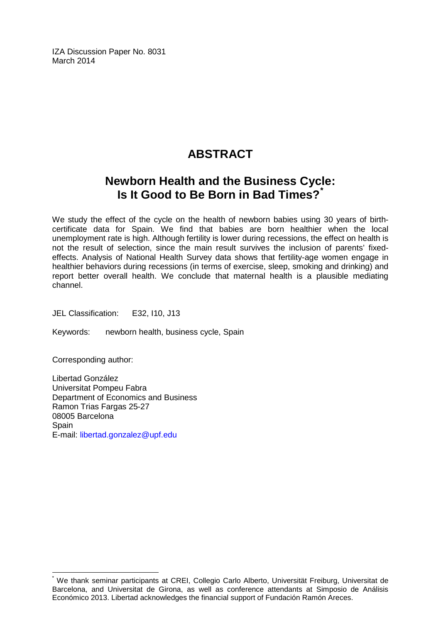IZA Discussion Paper No. 8031 March 2014

# **ABSTRACT**

# **Newborn Health and the Business Cycle: Is It Good to Be Born in Bad Times?[\\*](#page-1-0)**

We study the effect of the cycle on the health of newborn babies using 30 years of birthcertificate data for Spain. We find that babies are born healthier when the local unemployment rate is high. Although fertility is lower during recessions, the effect on health is not the result of selection, since the main result survives the inclusion of parents' fixedeffects. Analysis of National Health Survey data shows that fertility-age women engage in healthier behaviors during recessions (in terms of exercise, sleep, smoking and drinking) and report better overall health. We conclude that maternal health is a plausible mediating channel.

JEL Classification: E32, I10, J13

Keywords: newborn health, business cycle, Spain

Corresponding author:

Libertad González Universitat Pompeu Fabra Department of Economics and Business Ramon Trias Fargas 25-27 08005 Barcelona **Spain** E-mail: [libertad.gonzalez@upf.edu](mailto:libertad.gonzalez@upf.edu)

\* We thank seminar participants at CREI, Collegio Carlo Alberto, Universität Freiburg, Universitat de Barcelona, and Universitat de Girona, as well as conference attendants at Simposio de Análisis Económico 2013. Libertad acknowledges the financial support of Fundación Ramón Areces.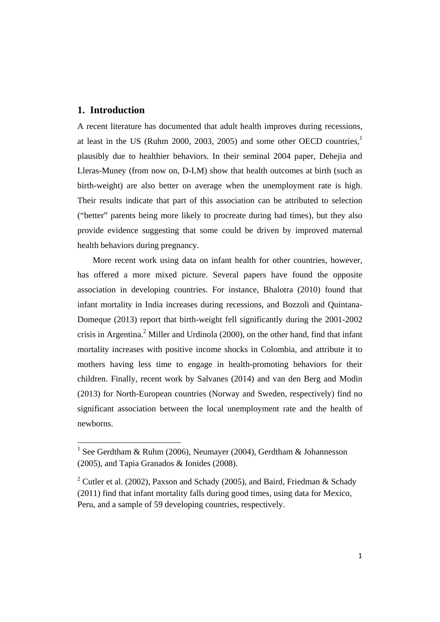#### **1. Introduction**

A recent literature has documented that adult health improves during recessions, at least in the US (Ruhm 2000, 2003, 2005) and some other OECD countries, $<sup>1</sup>$ </sup> plausibly due to healthier behaviors. In their seminal 2004 paper, Dehejia and Lleras-Muney (from now on, D-LM) show that health outcomes at birth (such as birth-weight) are also better on average when the unemployment rate is high. Their results indicate that part of this association can be attributed to selection ("better" parents being more likely to procreate during bad times), but they also provide evidence suggesting that some could be driven by improved maternal health behaviors during pregnancy.

More recent work using data on infant health for other countries, however, has offered a more mixed picture. Several papers have found the opposite association in developing countries. For instance, Bhalotra (2010) found that infant mortality in India increases during recessions, and Bozzoli and Quintana-Domeque (2013) report that birth-weight fell significantly during the 2001-2002 crisis in Argentina.<sup>2</sup> Miller and Urdinola (2000), on the other hand, find that infant mortality increases with positive income shocks in Colombia, and attribute it to mothers having less time to engage in health-promoting behaviors for their children. Finally, recent work by Salvanes (2014) and van den Berg and Modin (2013) for North-European countries (Norway and Sweden, respectively) find no significant association between the local unemployment rate and the health of newborns.

<sup>&</sup>lt;sup>1</sup> See Gerdtham & Ruhm (2006), Neumayer (2004), Gerdtham & Johannesson (2005), and Tapia Granados & Ionides (2008).

<sup>&</sup>lt;sup>2</sup> Cutler et al. (2002), Paxson and Schady (2005), and Baird, Friedman & Schady (2011) find that infant mortality falls during good times, using data for Mexico, Peru, and a sample of 59 developing countries, respectively.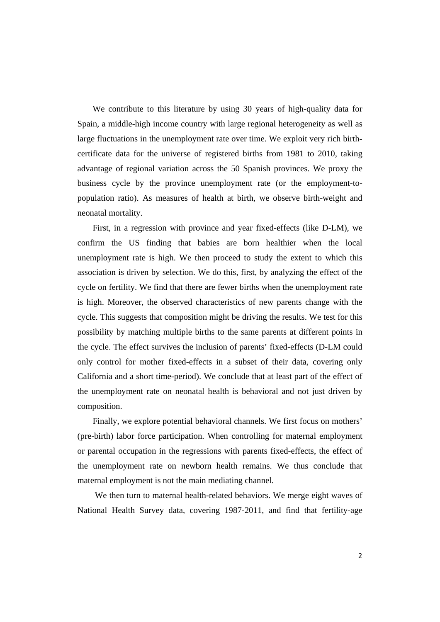We contribute to this literature by using 30 years of high-quality data for Spain, a middle-high income country with large regional heterogeneity as well as large fluctuations in the unemployment rate over time. We exploit very rich birthcertificate data for the universe of registered births from 1981 to 2010, taking advantage of regional variation across the 50 Spanish provinces. We proxy the business cycle by the province unemployment rate (or the employment-topopulation ratio). As measures of health at birth, we observe birth-weight and neonatal mortality.

First, in a regression with province and year fixed-effects (like D-LM), we confirm the US finding that babies are born healthier when the local unemployment rate is high. We then proceed to study the extent to which this association is driven by selection. We do this, first, by analyzing the effect of the cycle on fertility. We find that there are fewer births when the unemployment rate is high. Moreover, the observed characteristics of new parents change with the cycle. This suggests that composition might be driving the results. We test for this possibility by matching multiple births to the same parents at different points in the cycle. The effect survives the inclusion of parents' fixed-effects (D-LM could only control for mother fixed-effects in a subset of their data, covering only California and a short time-period). We conclude that at least part of the effect of the unemployment rate on neonatal health is behavioral and not just driven by composition.

Finally, we explore potential behavioral channels. We first focus on mothers' (pre-birth) labor force participation. When controlling for maternal employment or parental occupation in the regressions with parents fixed-effects, the effect of the unemployment rate on newborn health remains. We thus conclude that maternal employment is not the main mediating channel.

 We then turn to maternal health-related behaviors. We merge eight waves of National Health Survey data, covering 1987-2011, and find that fertility-age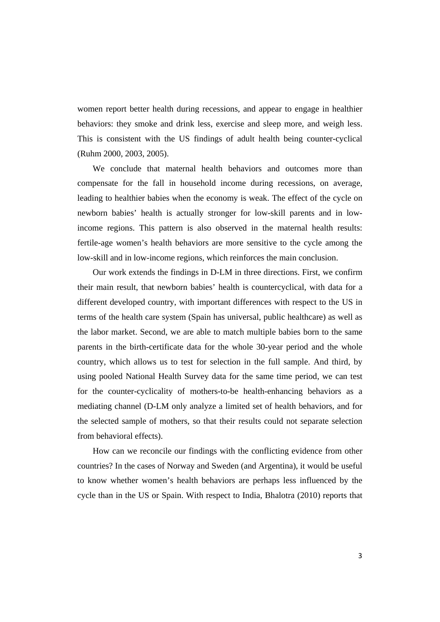women report better health during recessions, and appear to engage in healthier behaviors: they smoke and drink less, exercise and sleep more, and weigh less. This is consistent with the US findings of adult health being counter-cyclical (Ruhm 2000, 2003, 2005).

We conclude that maternal health behaviors and outcomes more than compensate for the fall in household income during recessions, on average, leading to healthier babies when the economy is weak. The effect of the cycle on newborn babies' health is actually stronger for low-skill parents and in lowincome regions. This pattern is also observed in the maternal health results: fertile-age women's health behaviors are more sensitive to the cycle among the low-skill and in low-income regions, which reinforces the main conclusion.

Our work extends the findings in D-LM in three directions. First, we confirm their main result, that newborn babies' health is countercyclical, with data for a different developed country, with important differences with respect to the US in terms of the health care system (Spain has universal, public healthcare) as well as the labor market. Second, we are able to match multiple babies born to the same parents in the birth-certificate data for the whole 30-year period and the whole country, which allows us to test for selection in the full sample. And third, by using pooled National Health Survey data for the same time period, we can test for the counter-cyclicality of mothers-to-be health-enhancing behaviors as a mediating channel (D-LM only analyze a limited set of health behaviors, and for the selected sample of mothers, so that their results could not separate selection from behavioral effects).

How can we reconcile our findings with the conflicting evidence from other countries? In the cases of Norway and Sweden (and Argentina), it would be useful to know whether women's health behaviors are perhaps less influenced by the cycle than in the US or Spain. With respect to India, Bhalotra (2010) reports that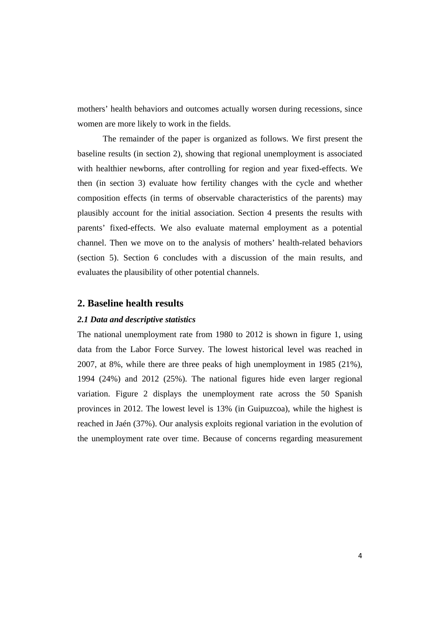mothers' health behaviors and outcomes actually worsen during recessions, since women are more likely to work in the fields.

The remainder of the paper is organized as follows. We first present the baseline results (in section 2), showing that regional unemployment is associated with healthier newborns, after controlling for region and year fixed-effects. We then (in section 3) evaluate how fertility changes with the cycle and whether composition effects (in terms of observable characteristics of the parents) may plausibly account for the initial association. Section 4 presents the results with parents' fixed-effects. We also evaluate maternal employment as a potential channel. Then we move on to the analysis of mothers' health-related behaviors (section 5). Section 6 concludes with a discussion of the main results, and evaluates the plausibility of other potential channels.

#### **2. Baseline health results**

#### *2.1 Data and descriptive statistics*

The national unemployment rate from 1980 to 2012 is shown in figure 1, using data from the Labor Force Survey. The lowest historical level was reached in 2007, at 8%, while there are three peaks of high unemployment in 1985 (21%), 1994 (24%) and 2012 (25%). The national figures hide even larger regional variation. Figure 2 displays the unemployment rate across the 50 Spanish provinces in 2012. The lowest level is 13% (in Guipuzcoa), while the highest is reached in Jaén (37%). Our analysis exploits regional variation in the evolution of the unemployment rate over time. Because of concerns regarding measurement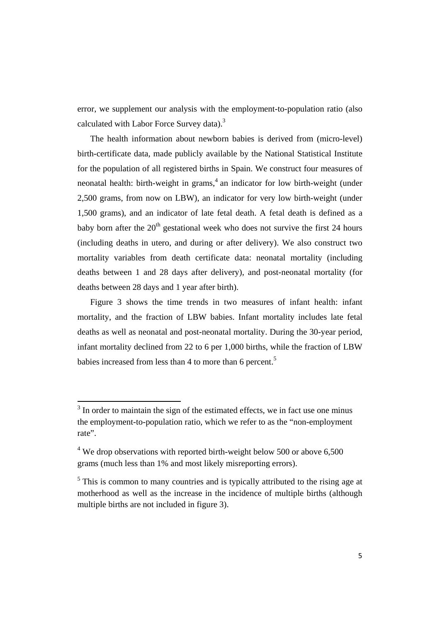error, we supplement our analysis with the employment-to-population ratio (also calculated with Labor Force Survey data). $3$ 

The health information about newborn babies is derived from (micro-level) birth-certificate data, made publicly available by the National Statistical Institute for the population of all registered births in Spain. We construct four measures of neonatal health: birth-weight in grams,<sup>4</sup> an indicator for low birth-weight (under 2,500 grams, from now on LBW), an indicator for very low birth-weight (under 1,500 grams), and an indicator of late fetal death. A fetal death is defined as a baby born after the  $20<sup>th</sup>$  gestational week who does not survive the first 24 hours (including deaths in utero, and during or after delivery). We also construct two mortality variables from death certificate data: neonatal mortality (including deaths between 1 and 28 days after delivery), and post-neonatal mortality (for deaths between 28 days and 1 year after birth).

Figure 3 shows the time trends in two measures of infant health: infant mortality, and the fraction of LBW babies. Infant mortality includes late fetal deaths as well as neonatal and post-neonatal mortality. During the 30-year period, infant mortality declined from 22 to 6 per 1,000 births, while the fraction of LBW babies increased from less than 4 to more than 6 percent.<sup>5</sup>

<sup>&</sup>lt;sup>3</sup> In order to maintain the sign of the estimated effects, we in fact use one minus the employment-to-population ratio, which we refer to as the "non-employment rate".

 $4$  We drop observations with reported birth-weight below 500 or above 6,500 grams (much less than 1% and most likely misreporting errors).

<sup>&</sup>lt;sup>5</sup> This is common to many countries and is typically attributed to the rising age at motherhood as well as the increase in the incidence of multiple births (although multiple births are not included in figure 3).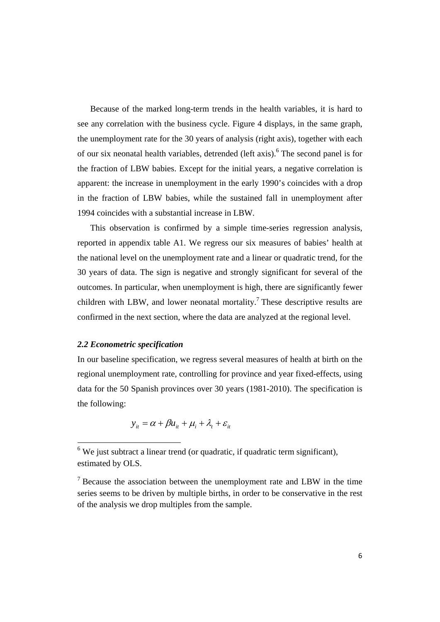Because of the marked long-term trends in the health variables, it is hard to see any correlation with the business cycle. Figure 4 displays, in the same graph, the unemployment rate for the 30 years of analysis (right axis), together with each of our six neonatal health variables, detrended (left axis). <sup>6</sup> The second panel is for the fraction of LBW babies. Except for the initial years, a negative correlation is apparent: the increase in unemployment in the early 1990's coincides with a drop in the fraction of LBW babies, while the sustained fall in unemployment after 1994 coincides with a substantial increase in LBW.

This observation is confirmed by a simple time-series regression analysis, reported in appendix table A1. We regress our six measures of babies' health at the national level on the unemployment rate and a linear or quadratic trend, for the 30 years of data. The sign is negative and strongly significant for several of the outcomes. In particular, when unemployment is high, there are significantly fewer children with LBW, and lower neonatal mortality.<sup>7</sup> These descriptive results are confirmed in the next section, where the data are analyzed at the regional level.

#### *2.2 Econometric specification*

In our baseline specification, we regress several measures of health at birth on the regional unemployment rate, controlling for province and year fixed-effects, using data for the 50 Spanish provinces over 30 years (1981-2010). The specification is the following:

$$
y_{it} = \alpha + \beta u_{it} + \mu_i + \lambda_t + \varepsilon_{it}
$$

 $6$  We just subtract a linear trend (or quadratic, if quadratic term significant), estimated by OLS.

 $7$  Because the association between the unemployment rate and LBW in the time series seems to be driven by multiple births, in order to be conservative in the rest of the analysis we drop multiples from the sample.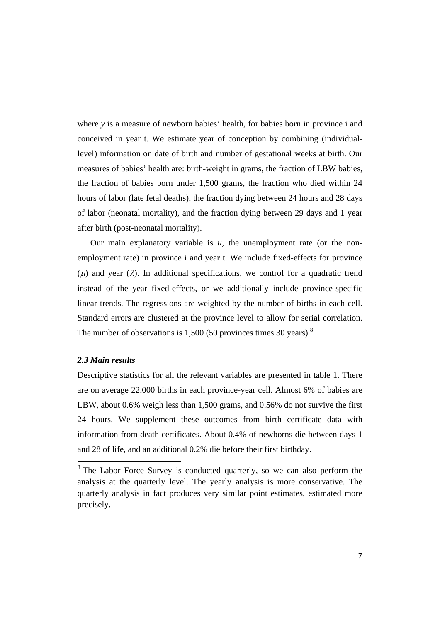where *y* is a measure of newborn babies' health, for babies born in province i and conceived in year t. We estimate year of conception by combining (individuallevel) information on date of birth and number of gestational weeks at birth. Our measures of babies' health are: birth-weight in grams, the fraction of LBW babies, the fraction of babies born under 1,500 grams, the fraction who died within 24 hours of labor (late fetal deaths), the fraction dying between 24 hours and 28 days of labor (neonatal mortality), and the fraction dying between 29 days and 1 year after birth (post-neonatal mortality).

Our main explanatory variable is  $u$ , the unemployment rate (or the nonemployment rate) in province i and year t. We include fixed-effects for province ( $\mu$ ) and year ( $\lambda$ ). In additional specifications, we control for a quadratic trend instead of the year fixed-effects, or we additionally include province-specific linear trends. The regressions are weighted by the number of births in each cell. Standard errors are clustered at the province level to allow for serial correlation. The number of observations is  $1,500$  (50 provinces times 30 years).<sup>8</sup>

#### *2.3 Main results*

Descriptive statistics for all the relevant variables are presented in table 1. There are on average 22,000 births in each province-year cell. Almost 6% of babies are LBW, about 0.6% weigh less than 1,500 grams, and 0.56% do not survive the first 24 hours. We supplement these outcomes from birth certificate data with information from death certificates. About 0.4% of newborns die between days 1 and 28 of life, and an additional 0.2% die before their first birthday.

<sup>&</sup>lt;sup>8</sup> The Labor Force Survey is conducted quarterly, so we can also perform the analysis at the quarterly level. The yearly analysis is more conservative. The quarterly analysis in fact produces very similar point estimates, estimated more precisely.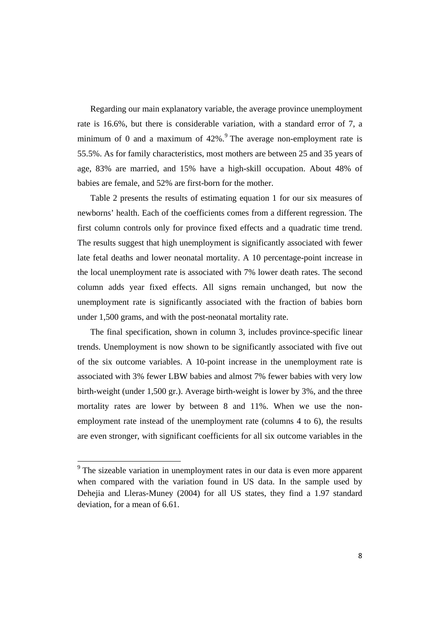Regarding our main explanatory variable, the average province unemployment rate is 16.6%, but there is considerable variation, with a standard error of 7, a minimum of 0 and a maximum of  $42\%$ . The average non-employment rate is 55.5%. As for family characteristics, most mothers are between 25 and 35 years of age, 83% are married, and 15% have a high-skill occupation. About 48% of babies are female, and 52% are first-born for the mother.

Table 2 presents the results of estimating equation 1 for our six measures of newborns' health. Each of the coefficients comes from a different regression. The first column controls only for province fixed effects and a quadratic time trend. The results suggest that high unemployment is significantly associated with fewer late fetal deaths and lower neonatal mortality. A 10 percentage-point increase in the local unemployment rate is associated with 7% lower death rates. The second column adds year fixed effects. All signs remain unchanged, but now the unemployment rate is significantly associated with the fraction of babies born under 1,500 grams, and with the post-neonatal mortality rate.

The final specification, shown in column 3, includes province-specific linear trends. Unemployment is now shown to be significantly associated with five out of the six outcome variables. A 10-point increase in the unemployment rate is associated with 3% fewer LBW babies and almost 7% fewer babies with very low birth-weight (under 1,500 gr.). Average birth-weight is lower by 3%, and the three mortality rates are lower by between 8 and 11%. When we use the nonemployment rate instead of the unemployment rate (columns 4 to 6), the results are even stronger, with significant coefficients for all six outcome variables in the

 $9<sup>9</sup>$  The sizeable variation in unemployment rates in our data is even more apparent when compared with the variation found in US data. In the sample used by Dehejia and Lleras-Muney (2004) for all US states, they find a 1.97 standard deviation, for a mean of 6.61.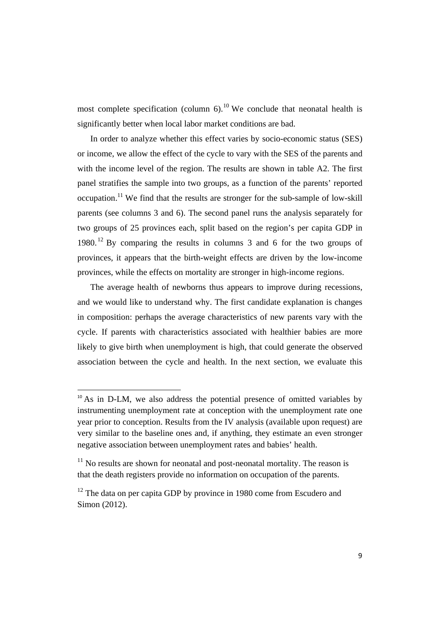most complete specification (column  $6$ ).<sup>10</sup> We conclude that neonatal health is significantly better when local labor market conditions are bad.

 In order to analyze whether this effect varies by socio-economic status (SES) or income, we allow the effect of the cycle to vary with the SES of the parents and with the income level of the region. The results are shown in table A2. The first panel stratifies the sample into two groups, as a function of the parents' reported occupation.<sup>11</sup> We find that the results are stronger for the sub-sample of low-skill parents (see columns 3 and 6). The second panel runs the analysis separately for two groups of 25 provinces each, split based on the region's per capita GDP in 1980. 12 By comparing the results in columns 3 and 6 for the two groups of provinces, it appears that the birth-weight effects are driven by the low-income provinces, while the effects on mortality are stronger in high-income regions.

 The average health of newborns thus appears to improve during recessions, and we would like to understand why. The first candidate explanation is changes in composition: perhaps the average characteristics of new parents vary with the cycle. If parents with characteristics associated with healthier babies are more likely to give birth when unemployment is high, that could generate the observed association between the cycle and health. In the next section, we evaluate this

 $10$  As in D-LM, we also address the potential presence of omitted variables by instrumenting unemployment rate at conception with the unemployment rate one year prior to conception. Results from the IV analysis (available upon request) are very similar to the baseline ones and, if anything, they estimate an even stronger negative association between unemployment rates and babies' health.

 $11$  No results are shown for neonatal and post-neonatal mortality. The reason is that the death registers provide no information on occupation of the parents.

 $12$  The data on per capita GDP by province in 1980 come from Escudero and Simon (2012).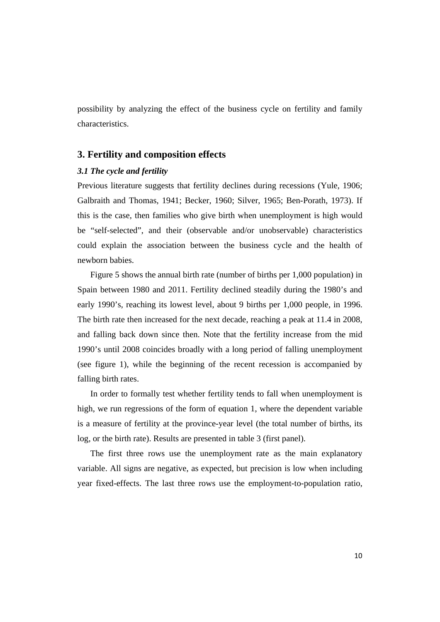possibility by analyzing the effect of the business cycle on fertility and family characteristics.

#### **3. Fertility and composition effects**

#### *3.1 The cycle and fertility*

Previous literature suggests that fertility declines during recessions (Yule, 1906; Galbraith and Thomas, 1941; Becker, 1960; Silver, 1965; Ben-Porath, 1973). If this is the case, then families who give birth when unemployment is high would be "self-selected", and their (observable and/or unobservable) characteristics could explain the association between the business cycle and the health of newborn babies.

Figure 5 shows the annual birth rate (number of births per 1,000 population) in Spain between 1980 and 2011. Fertility declined steadily during the 1980's and early 1990's, reaching its lowest level, about 9 births per 1,000 people, in 1996. The birth rate then increased for the next decade, reaching a peak at 11.4 in 2008, and falling back down since then. Note that the fertility increase from the mid 1990's until 2008 coincides broadly with a long period of falling unemployment (see figure 1), while the beginning of the recent recession is accompanied by falling birth rates.

In order to formally test whether fertility tends to fall when unemployment is high, we run regressions of the form of equation 1, where the dependent variable is a measure of fertility at the province-year level (the total number of births, its log, or the birth rate). Results are presented in table 3 (first panel).

The first three rows use the unemployment rate as the main explanatory variable. All signs are negative, as expected, but precision is low when including year fixed-effects. The last three rows use the employment-to-population ratio,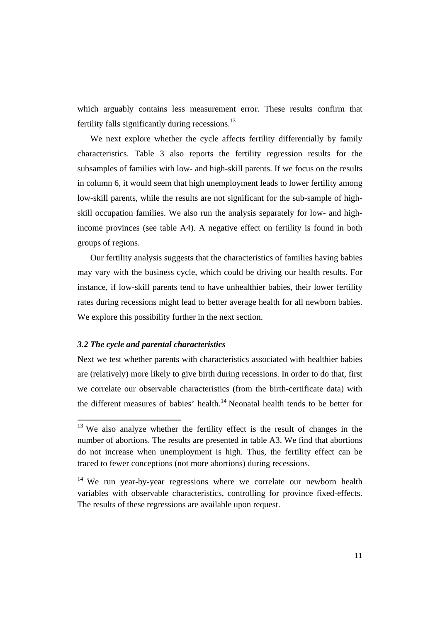which arguably contains less measurement error. These results confirm that fertility falls significantly during recessions. $^{13}$ 

We next explore whether the cycle affects fertility differentially by family characteristics. Table 3 also reports the fertility regression results for the subsamples of families with low- and high-skill parents. If we focus on the results in column 6, it would seem that high unemployment leads to lower fertility among low-skill parents, while the results are not significant for the sub-sample of highskill occupation families. We also run the analysis separately for low- and highincome provinces (see table A4). A negative effect on fertility is found in both groups of regions.

Our fertility analysis suggests that the characteristics of families having babies may vary with the business cycle, which could be driving our health results. For instance, if low-skill parents tend to have unhealthier babies, their lower fertility rates during recessions might lead to better average health for all newborn babies. We explore this possibility further in the next section.

#### *3.2 The cycle and parental characteristics*

Next we test whether parents with characteristics associated with healthier babies are (relatively) more likely to give birth during recessions. In order to do that, first we correlate our observable characteristics (from the birth-certificate data) with the different measures of babies' health.14 Neonatal health tends to be better for

<sup>&</sup>lt;sup>13</sup> We also analyze whether the fertility effect is the result of changes in the number of abortions. The results are presented in table A3. We find that abortions do not increase when unemployment is high. Thus, the fertility effect can be traced to fewer conceptions (not more abortions) during recessions.

<sup>&</sup>lt;sup>14</sup> We run year-by-year regressions where we correlate our newborn health variables with observable characteristics, controlling for province fixed-effects. The results of these regressions are available upon request.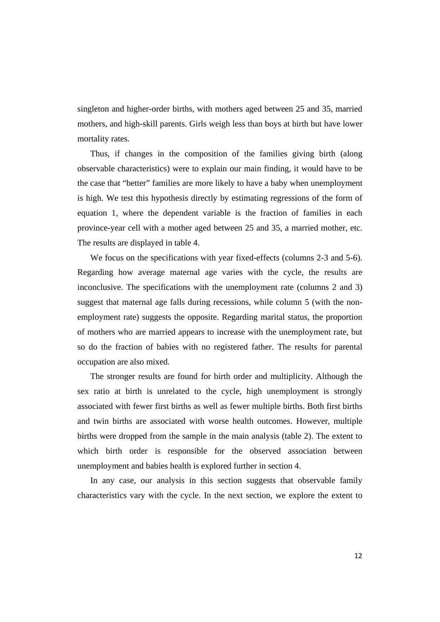singleton and higher-order births, with mothers aged between 25 and 35, married mothers, and high-skill parents. Girls weigh less than boys at birth but have lower mortality rates.

Thus, if changes in the composition of the families giving birth (along observable characteristics) were to explain our main finding, it would have to be the case that "better" families are more likely to have a baby when unemployment is high. We test this hypothesis directly by estimating regressions of the form of equation 1, where the dependent variable is the fraction of families in each province-year cell with a mother aged between 25 and 35, a married mother, etc. The results are displayed in table 4.

We focus on the specifications with year fixed-effects (columns 2-3 and 5-6). Regarding how average maternal age varies with the cycle, the results are inconclusive. The specifications with the unemployment rate (columns 2 and 3) suggest that maternal age falls during recessions, while column 5 (with the nonemployment rate) suggests the opposite. Regarding marital status, the proportion of mothers who are married appears to increase with the unemployment rate, but so do the fraction of babies with no registered father. The results for parental occupation are also mixed.

The stronger results are found for birth order and multiplicity. Although the sex ratio at birth is unrelated to the cycle, high unemployment is strongly associated with fewer first births as well as fewer multiple births. Both first births and twin births are associated with worse health outcomes. However, multiple births were dropped from the sample in the main analysis (table 2). The extent to which birth order is responsible for the observed association between unemployment and babies health is explored further in section 4.

In any case, our analysis in this section suggests that observable family characteristics vary with the cycle. In the next section, we explore the extent to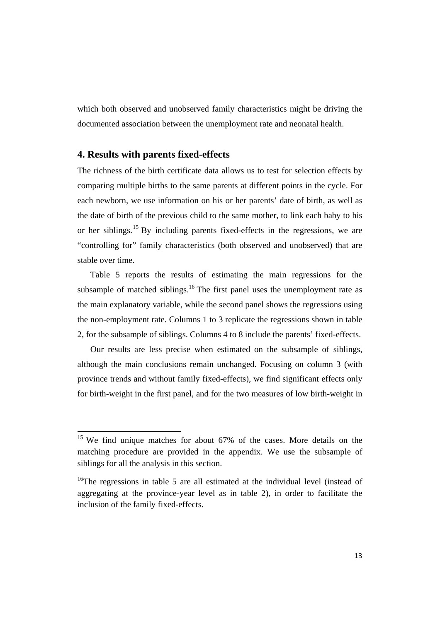which both observed and unobserved family characteristics might be driving the documented association between the unemployment rate and neonatal health.

#### **4. Results with parents fixed-effects**

The richness of the birth certificate data allows us to test for selection effects by comparing multiple births to the same parents at different points in the cycle. For each newborn, we use information on his or her parents' date of birth, as well as the date of birth of the previous child to the same mother, to link each baby to his or her siblings.15 By including parents fixed-effects in the regressions, we are "controlling for" family characteristics (both observed and unobserved) that are stable over time.

Table 5 reports the results of estimating the main regressions for the subsample of matched siblings.<sup>16</sup> The first panel uses the unemployment rate as the main explanatory variable, while the second panel shows the regressions using the non-employment rate. Columns 1 to 3 replicate the regressions shown in table 2, for the subsample of siblings. Columns 4 to 8 include the parents' fixed-effects.

Our results are less precise when estimated on the subsample of siblings, although the main conclusions remain unchanged. Focusing on column 3 (with province trends and without family fixed-effects), we find significant effects only for birth-weight in the first panel, and for the two measures of low birth-weight in

 $15$  We find unique matches for about 67% of the cases. More details on the matching procedure are provided in the appendix. We use the subsample of siblings for all the analysis in this section.

<sup>&</sup>lt;sup>16</sup>The regressions in table 5 are all estimated at the individual level (instead of aggregating at the province-year level as in table 2), in order to facilitate the inclusion of the family fixed-effects.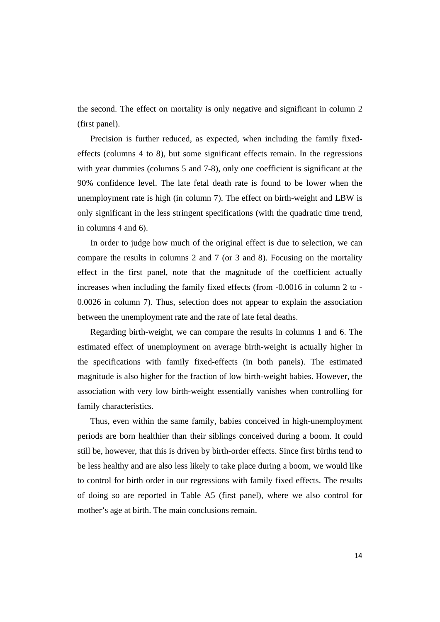the second. The effect on mortality is only negative and significant in column 2 (first panel).

Precision is further reduced, as expected, when including the family fixedeffects (columns 4 to 8), but some significant effects remain. In the regressions with year dummies (columns 5 and 7-8), only one coefficient is significant at the 90% confidence level. The late fetal death rate is found to be lower when the unemployment rate is high (in column 7). The effect on birth-weight and LBW is only significant in the less stringent specifications (with the quadratic time trend, in columns 4 and 6).

In order to judge how much of the original effect is due to selection, we can compare the results in columns 2 and 7 (or 3 and 8). Focusing on the mortality effect in the first panel, note that the magnitude of the coefficient actually increases when including the family fixed effects (from -0.0016 in column 2 to - 0.0026 in column 7). Thus, selection does not appear to explain the association between the unemployment rate and the rate of late fetal deaths.

Regarding birth-weight, we can compare the results in columns 1 and 6. The estimated effect of unemployment on average birth-weight is actually higher in the specifications with family fixed-effects (in both panels). The estimated magnitude is also higher for the fraction of low birth-weight babies. However, the association with very low birth-weight essentially vanishes when controlling for family characteristics.

Thus, even within the same family, babies conceived in high-unemployment periods are born healthier than their siblings conceived during a boom. It could still be, however, that this is driven by birth-order effects. Since first births tend to be less healthy and are also less likely to take place during a boom, we would like to control for birth order in our regressions with family fixed effects. The results of doing so are reported in Table A5 (first panel), where we also control for mother's age at birth. The main conclusions remain.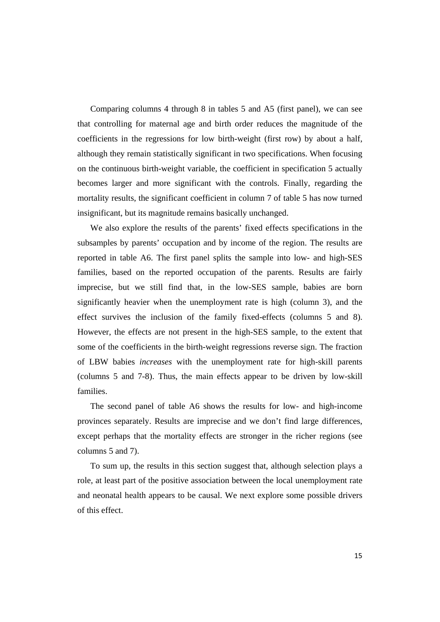Comparing columns 4 through 8 in tables 5 and A5 (first panel), we can see that controlling for maternal age and birth order reduces the magnitude of the coefficients in the regressions for low birth-weight (first row) by about a half, although they remain statistically significant in two specifications. When focusing on the continuous birth-weight variable, the coefficient in specification 5 actually becomes larger and more significant with the controls. Finally, regarding the mortality results, the significant coefficient in column 7 of table 5 has now turned insignificant, but its magnitude remains basically unchanged.

We also explore the results of the parents' fixed effects specifications in the subsamples by parents' occupation and by income of the region. The results are reported in table A6. The first panel splits the sample into low- and high-SES families, based on the reported occupation of the parents. Results are fairly imprecise, but we still find that, in the low-SES sample, babies are born significantly heavier when the unemployment rate is high (column 3), and the effect survives the inclusion of the family fixed-effects (columns 5 and 8). However, the effects are not present in the high-SES sample, to the extent that some of the coefficients in the birth-weight regressions reverse sign. The fraction of LBW babies *increases* with the unemployment rate for high-skill parents (columns 5 and 7-8). Thus, the main effects appear to be driven by low-skill families.

The second panel of table A6 shows the results for low- and high-income provinces separately. Results are imprecise and we don't find large differences, except perhaps that the mortality effects are stronger in the richer regions (see columns 5 and 7).

To sum up, the results in this section suggest that, although selection plays a role, at least part of the positive association between the local unemployment rate and neonatal health appears to be causal. We next explore some possible drivers of this effect.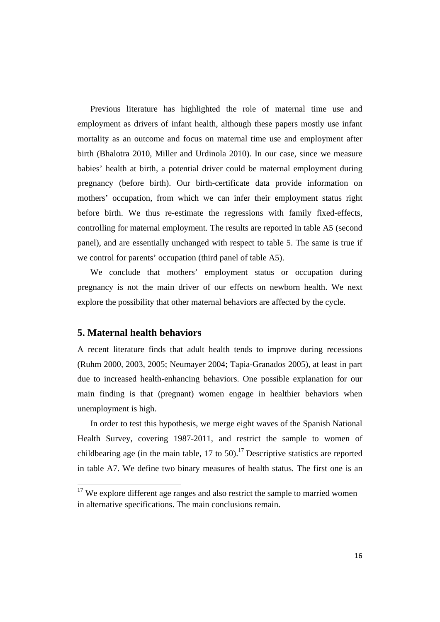Previous literature has highlighted the role of maternal time use and employment as drivers of infant health, although these papers mostly use infant mortality as an outcome and focus on maternal time use and employment after birth (Bhalotra 2010, Miller and Urdinola 2010). In our case, since we measure babies' health at birth, a potential driver could be maternal employment during pregnancy (before birth). Our birth-certificate data provide information on mothers' occupation, from which we can infer their employment status right before birth. We thus re-estimate the regressions with family fixed-effects, controlling for maternal employment. The results are reported in table A5 (second panel), and are essentially unchanged with respect to table 5. The same is true if we control for parents' occupation (third panel of table A5).

We conclude that mothers' employment status or occupation during pregnancy is not the main driver of our effects on newborn health. We next explore the possibility that other maternal behaviors are affected by the cycle.

#### **5. Maternal health behaviors**

A recent literature finds that adult health tends to improve during recessions (Ruhm 2000, 2003, 2005; Neumayer 2004; Tapia-Granados 2005), at least in part due to increased health-enhancing behaviors. One possible explanation for our main finding is that (pregnant) women engage in healthier behaviors when unemployment is high.

In order to test this hypothesis, we merge eight waves of the Spanish National Health Survey, covering 1987-2011, and restrict the sample to women of childbearing age (in the main table,  $17$  to  $50$ ).<sup>17</sup> Descriptive statistics are reported in table A7. We define two binary measures of health status. The first one is an

 $17$  We explore different age ranges and also restrict the sample to married women in alternative specifications. The main conclusions remain.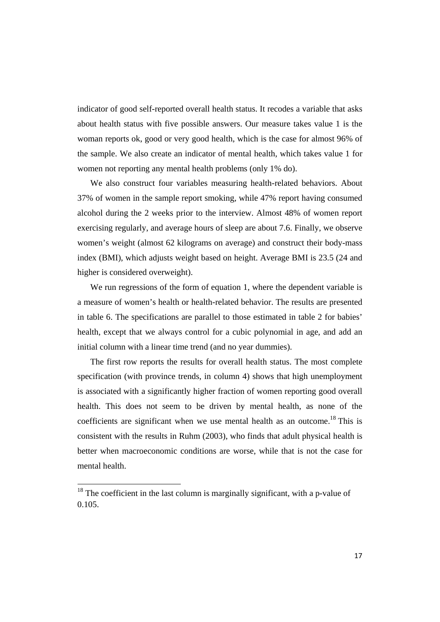indicator of good self-reported overall health status. It recodes a variable that asks about health status with five possible answers. Our measure takes value 1 is the woman reports ok, good or very good health, which is the case for almost 96% of the sample. We also create an indicator of mental health, which takes value 1 for women not reporting any mental health problems (only 1% do).

We also construct four variables measuring health-related behaviors. About 37% of women in the sample report smoking, while 47% report having consumed alcohol during the 2 weeks prior to the interview. Almost 48% of women report exercising regularly, and average hours of sleep are about 7.6. Finally, we observe women's weight (almost 62 kilograms on average) and construct their body-mass index (BMI), which adjusts weight based on height. Average BMI is 23.5 (24 and higher is considered overweight).

We run regressions of the form of equation 1, where the dependent variable is a measure of women's health or health-related behavior. The results are presented in table 6. The specifications are parallel to those estimated in table 2 for babies' health, except that we always control for a cubic polynomial in age, and add an initial column with a linear time trend (and no year dummies).

The first row reports the results for overall health status. The most complete specification (with province trends, in column 4) shows that high unemployment is associated with a significantly higher fraction of women reporting good overall health. This does not seem to be driven by mental health, as none of the coefficients are significant when we use mental health as an outcome.<sup>18</sup> This is consistent with the results in Ruhm (2003), who finds that adult physical health is better when macroeconomic conditions are worse, while that is not the case for mental health.

 $18$  The coefficient in the last column is marginally significant, with a p-value of 0.105.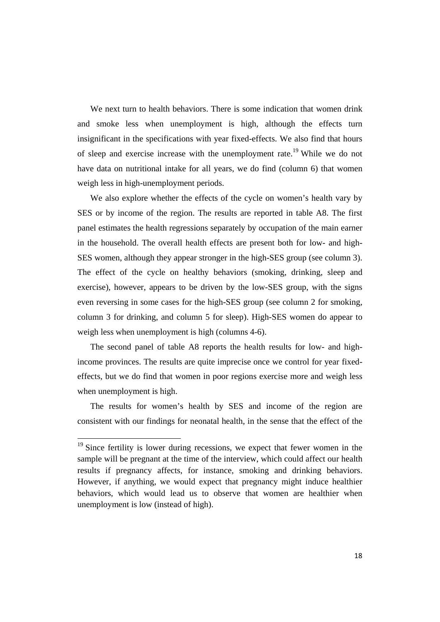We next turn to health behaviors. There is some indication that women drink and smoke less when unemployment is high, although the effects turn insignificant in the specifications with year fixed-effects. We also find that hours of sleep and exercise increase with the unemployment rate.<sup>19</sup> While we do not have data on nutritional intake for all years, we do find (column 6) that women weigh less in high-unemployment periods.

We also explore whether the effects of the cycle on women's health vary by SES or by income of the region. The results are reported in table A8. The first panel estimates the health regressions separately by occupation of the main earner in the household. The overall health effects are present both for low- and high-SES women, although they appear stronger in the high-SES group (see column 3). The effect of the cycle on healthy behaviors (smoking, drinking, sleep and exercise), however, appears to be driven by the low-SES group, with the signs even reversing in some cases for the high-SES group (see column 2 for smoking, column 3 for drinking, and column 5 for sleep). High-SES women do appear to weigh less when unemployment is high (columns 4-6).

The second panel of table A8 reports the health results for low- and highincome provinces. The results are quite imprecise once we control for year fixedeffects, but we do find that women in poor regions exercise more and weigh less when unemployment is high.

The results for women's health by SES and income of the region are consistent with our findings for neonatal health, in the sense that the effect of the

 $19$  Since fertility is lower during recessions, we expect that fewer women in the sample will be pregnant at the time of the interview, which could affect our health results if pregnancy affects, for instance, smoking and drinking behaviors. However, if anything, we would expect that pregnancy might induce healthier behaviors, which would lead us to observe that women are healthier when unemployment is low (instead of high).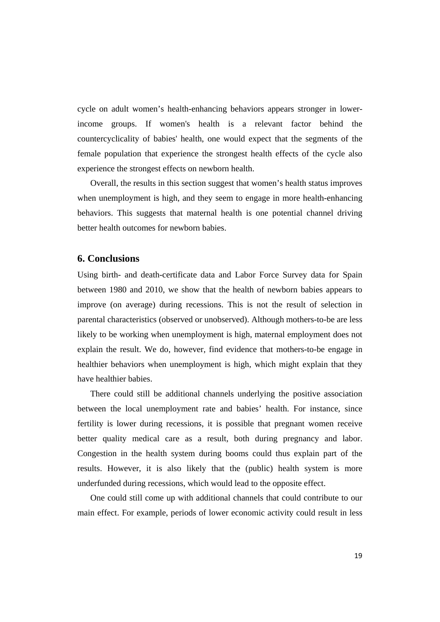cycle on adult women's health-enhancing behaviors appears stronger in lowerincome groups. If women's health is a relevant factor behind the countercyclicality of babies' health, one would expect that the segments of the female population that experience the strongest health effects of the cycle also experience the strongest effects on newborn health.

Overall, the results in this section suggest that women's health status improves when unemployment is high, and they seem to engage in more health-enhancing behaviors. This suggests that maternal health is one potential channel driving better health outcomes for newborn babies.

#### **6. Conclusions**

Using birth- and death-certificate data and Labor Force Survey data for Spain between 1980 and 2010, we show that the health of newborn babies appears to improve (on average) during recessions. This is not the result of selection in parental characteristics (observed or unobserved). Although mothers-to-be are less likely to be working when unemployment is high, maternal employment does not explain the result. We do, however, find evidence that mothers-to-be engage in healthier behaviors when unemployment is high, which might explain that they have healthier babies.

There could still be additional channels underlying the positive association between the local unemployment rate and babies' health. For instance, since fertility is lower during recessions, it is possible that pregnant women receive better quality medical care as a result, both during pregnancy and labor. Congestion in the health system during booms could thus explain part of the results. However, it is also likely that the (public) health system is more underfunded during recessions, which would lead to the opposite effect.

One could still come up with additional channels that could contribute to our main effect. For example, periods of lower economic activity could result in less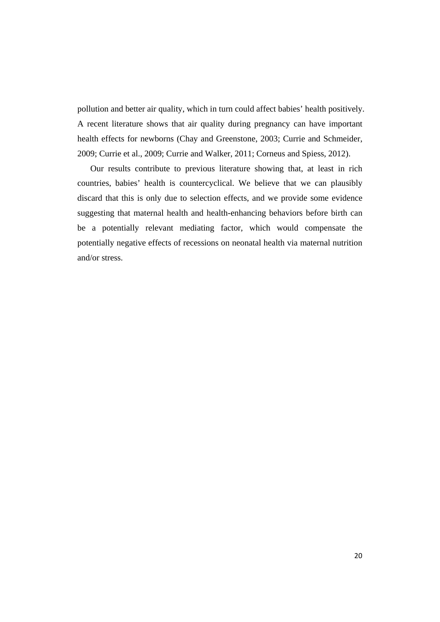pollution and better air quality, which in turn could affect babies' health positively. A recent literature shows that air quality during pregnancy can have important health effects for newborns (Chay and Greenstone, 2003; Currie and Schmeider, 2009; Currie et al., 2009; Currie and Walker, 2011; Corneus and Spiess, 2012).

Our results contribute to previous literature showing that, at least in rich countries, babies' health is countercyclical. We believe that we can plausibly discard that this is only due to selection effects, and we provide some evidence suggesting that maternal health and health-enhancing behaviors before birth can be a potentially relevant mediating factor, which would compensate the potentially negative effects of recessions on neonatal health via maternal nutrition and/or stress.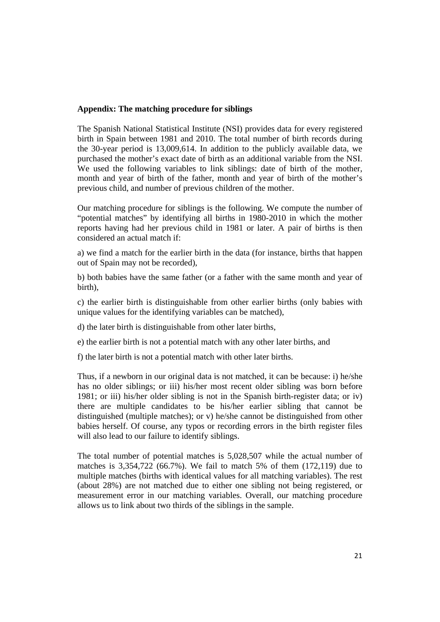#### **Appendix: The matching procedure for siblings**

The Spanish National Statistical Institute (NSI) provides data for every registered birth in Spain between 1981 and 2010. The total number of birth records during the 30-year period is 13,009,614. In addition to the publicly available data, we purchased the mother's exact date of birth as an additional variable from the NSI. We used the following variables to link siblings: date of birth of the mother, month and year of birth of the father, month and year of birth of the mother's previous child, and number of previous children of the mother.

Our matching procedure for siblings is the following. We compute the number of "potential matches" by identifying all births in 1980-2010 in which the mother reports having had her previous child in 1981 or later. A pair of births is then considered an actual match if:

a) we find a match for the earlier birth in the data (for instance, births that happen out of Spain may not be recorded),

b) both babies have the same father (or a father with the same month and year of birth),

c) the earlier birth is distinguishable from other earlier births (only babies with unique values for the identifying variables can be matched),

d) the later birth is distinguishable from other later births,

e) the earlier birth is not a potential match with any other later births, and

f) the later birth is not a potential match with other later births.

Thus, if a newborn in our original data is not matched, it can be because: i) he/she has no older siblings; or iii) his/her most recent older sibling was born before 1981; or iii) his/her older sibling is not in the Spanish birth-register data; or iv) there are multiple candidates to be his/her earlier sibling that cannot be distinguished (multiple matches); or v) he/she cannot be distinguished from other babies herself. Of course, any typos or recording errors in the birth register files will also lead to our failure to identify siblings.

The total number of potential matches is 5,028,507 while the actual number of matches is 3,354,722 (66.7%). We fail to match 5% of them (172,119) due to multiple matches (births with identical values for all matching variables). The rest (about 28%) are not matched due to either one sibling not being registered, or measurement error in our matching variables. Overall, our matching procedure allows us to link about two thirds of the siblings in the sample.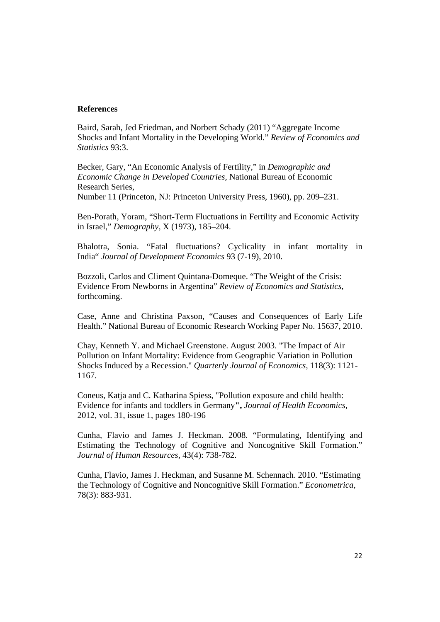#### **References**

Baird, Sarah, Jed Friedman, and Norbert Schady (2011) "Aggregate Income Shocks and Infant Mortality in the Developing World." *Review of Economics and Statistics* 93:3.

Becker, Gary, "An Economic Analysis of Fertility," in *Demographic and Economic Change in Developed Countries,* National Bureau of Economic Research Series,

Number 11 (Princeton, NJ: Princeton University Press, 1960), pp. 209–231.

Ben-Porath, Yoram, "Short-Term Fluctuations in Fertility and Economic Activity in Israel," *Demography,* X (1973), 185–204.

Bhalotra, Sonia. "Fatal fluctuations? Cyclicality in infant mortality in India" *Journal of Development Economics* 93 (7-19), 2010.

Bozzoli, Carlos and Climent Quintana-Domeque. "The Weight of the Crisis: Evidence From Newborns in Argentina" *Review of Economics and Statistics*, forthcoming.

Case, Anne and Christina Paxson, "Causes and Consequences of Early Life Health." National Bureau of Economic Research Working Paper No. 15637, 2010.

Chay, Kenneth Y. and Michael Greenstone. August 2003. "The Impact of Air Pollution on Infant Mortality: Evidence from Geographic Variation in Pollution Shocks Induced by a Recession." *Quarterly Journal of Economics,* 118(3): 1121- 1167.

Coneus, Katia and C. Katharina Spiess, "Pollution exposure and child health: Evidence for infants and toddlers in Germany**",** *Journal of Health Economics*, 2012, vol. 31, issue 1, pages 180-196

Cunha, Flavio and James J. Heckman. 2008. "Formulating, Identifying and Estimating the Technology of Cognitive and Noncognitive Skill Formation." *Journal of Human Resources*, 43(4): 738-782.

Cunha, Flavio, James J. Heckman, and Susanne M. Schennach. 2010. "Estimating the Technology of Cognitive and Noncognitive Skill Formation." *Econometrica,*  78(3): 883-931.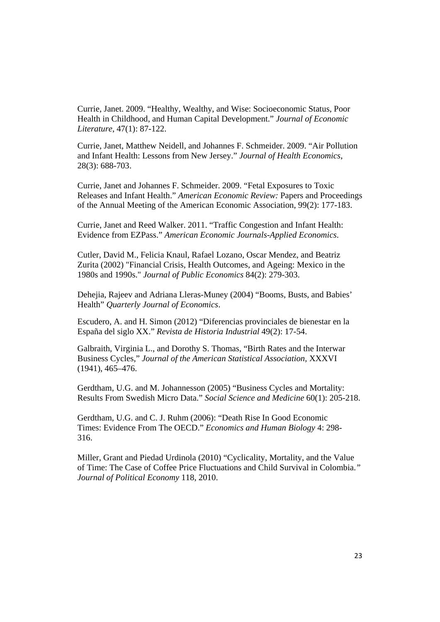Currie, Janet. 2009. "Healthy, Wealthy, and Wise: Socioeconomic Status, Poor Health in Childhood, and Human Capital Development." *Journal of Economic Literature*, 47(1): 87-122.

Currie, Janet, Matthew Neidell, and Johannes F. Schmeider. 2009. "Air Pollution and Infant Health: Lessons from New Jersey." *Journal of Health Economics*, 28(3): 688-703.

Currie, Janet and Johannes F. Schmeider. 2009. "Fetal Exposures to Toxic Releases and Infant Health." *American Economic Review:* Papers and Proceedings of the Annual Meeting of the American Economic Association, 99(2): 177-183.

Currie, Janet and Reed Walker. 2011. "Traffic Congestion and Infant Health: Evidence from EZPass." *American Economic Journals-Applied Economics*.

Cutler, David M., Felicia Knaul, Rafael Lozano, Oscar Mendez, and Beatriz Zurita (2002) "Financial Crisis, Health Outcomes, and Ageing: Mexico in the 1980s and 1990s." *Journal of Public Economics* 84(2): 279-303.

Dehejia, Rajeev and Adriana Lleras-Muney (2004) "Booms, Busts, and Babies' Health" *Quarterly Journal of Economics*.

Escudero, A. and H. Simon (2012) "Diferencias provinciales de bienestar en la España del siglo XX." *Revista de Historia Industrial* 49(2): 17-54.

Galbraith, Virginia L., and Dorothy S. Thomas, "Birth Rates and the Interwar Business Cycles," *Journal of the American Statistical Association,* XXXVI (1941), 465–476.

Gerdtham, U.G. and M. Johannesson (2005) "Business Cycles and Mortality: Results From Swedish Micro Data." *Social Science and Medicine* 60(1): 205-218.

Gerdtham, U.G. and C. J. Ruhm (2006): "Death Rise In Good Economic Times: Evidence From The OECD." *Economics and Human Biology* 4: 298- 316.

Miller, Grant and Piedad Urdinola (2010) "Cyclicality, Mortality, and the Value of Time: The Case of Coffee Price Fluctuations and Child Survival in Colombia.*" Journal of Political Economy* 118, 2010.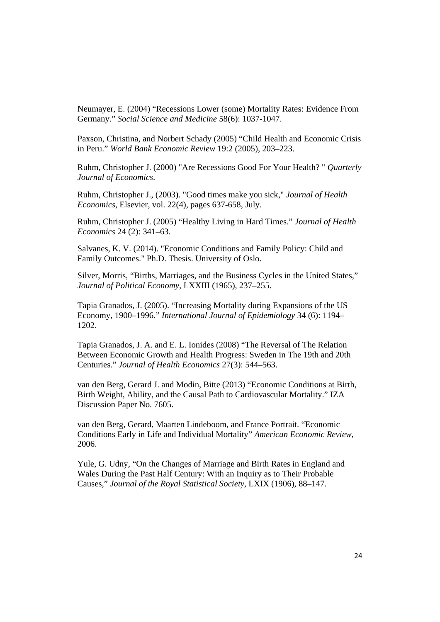Neumayer, E. (2004) "Recessions Lower (some) Mortality Rates: Evidence From Germany." *Social Science and Medicine* 58(6): 1037-1047.

Paxson, Christina, and Norbert Schady (2005) "Child Health and Economic Crisis in Peru." *World Bank Economic Review* 19:2 (2005), 203–223.

Ruhm, Christopher J. (2000) "Are Recessions Good For Your Health? " *Quarterly Journal of Economics*.

Ruhm, Christopher J., (2003). "Good times make you sick," *Journal of Health Economics*, Elsevier, vol. 22(4), pages 637-658, July.

Ruhm, Christopher J. (2005) "Healthy Living in Hard Times." *Journal of Health Economics* 24 (2): 341–63.

Salvanes, K. V. (2014). "Economic Conditions and Family Policy: Child and Family Outcomes." Ph.D. Thesis. University of Oslo.

Silver, Morris, "Births, Marriages, and the Business Cycles in the United States," *Journal of Political Economy,* LXXIII (1965), 237–255.

Tapia Granados, J. (2005). "Increasing Mortality during Expansions of the US Economy, 1900–1996." *International Journal of Epidemiology* 34 (6): 1194– 1202.

Tapia Granados, J. A. and E. L. Ionides (2008) "The Reversal of The Relation Between Economic Growth and Health Progress: Sweden in The 19th and 20th Centuries." *Journal of Health Economics* 27(3): 544–563.

van den Berg, Gerard J. and Modin, Bitte (2013) "Economic Conditions at Birth, Birth Weight, Ability, and the Causal Path to Cardiovascular Mortality." IZA Discussion Paper No. 7605.

van den Berg, Gerard, Maarten Lindeboom, and France Portrait. "Economic Conditions Early in Life and Individual Mortality" *American Economic Review*, 2006.

Yule, G. Udny, "On the Changes of Marriage and Birth Rates in England and Wales During the Past Half Century: With an Inquiry as to Their Probable Causes," *Journal of the Royal Statistical Society,* LXIX (1906), 88–147.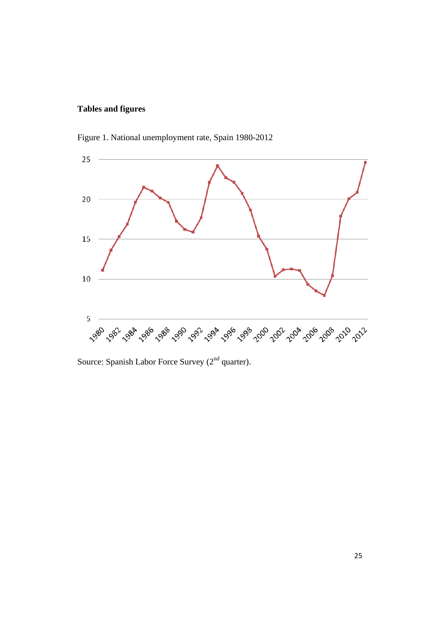#### **Tables and figures**



Figure 1. National unemployment rate, Spain 1980-2012

Source: Spanish Labor Force Survey (2<sup>nd</sup> quarter).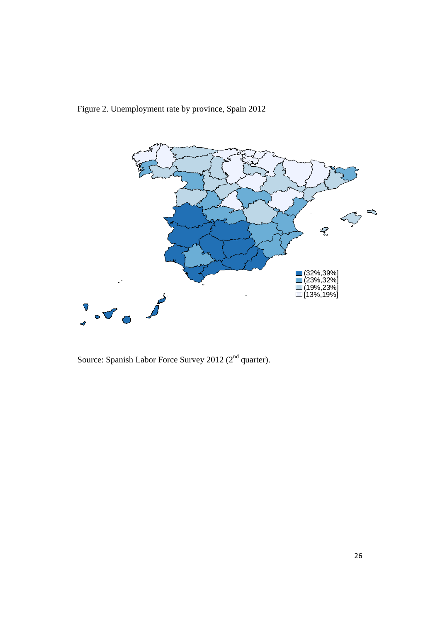



Source: Spanish Labor Force Survey 2012 ( $2<sup>nd</sup>$  quarter).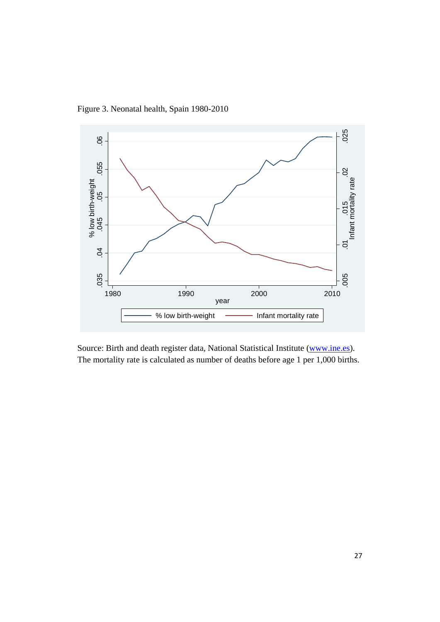Figure 3. Neonatal health, Spain 1980-2010



Source: Birth and death register data, National Statistical Institute (www.ine.es). The mortality rate is calculated as number of deaths before age 1 per 1,000 births.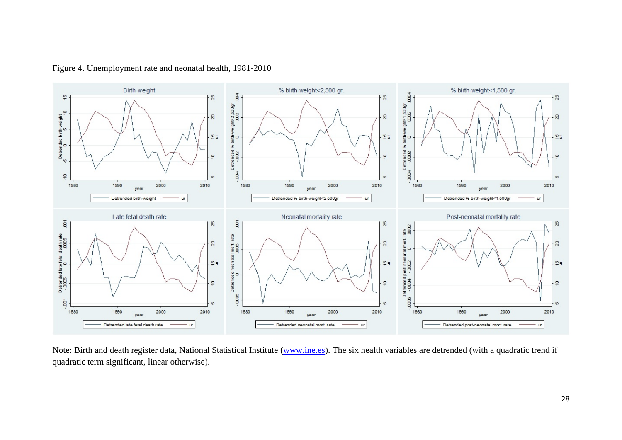

Figure 4. Unemployment rate and neonatal health, 1981-2010

Note: Birth and death register data, National Statistical Institute (www.ine.es). The six health variables are detrended (with a quadratic trend if quadratic term significant, linear otherwise).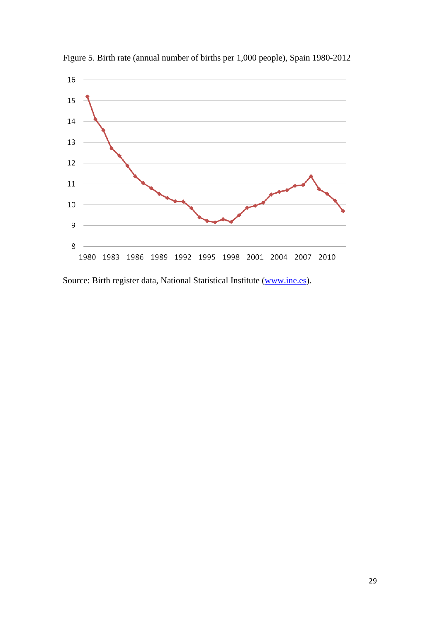

Figure 5. Birth rate (annual number of births per 1,000 people), Spain 1980-2012

Source: Birth register data, National Statistical Institute (www.ine.es).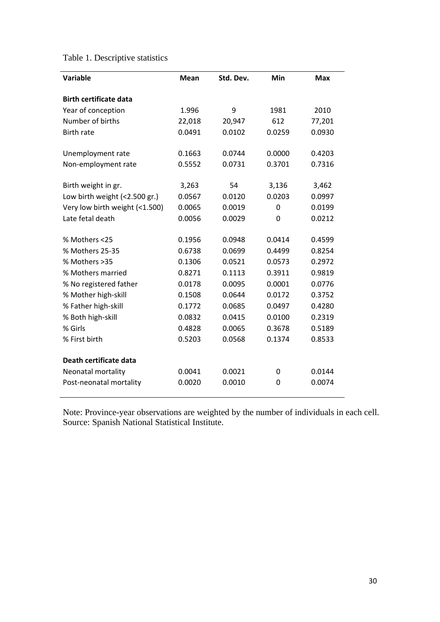|  | Table 1. Descriptive statistics |  |
|--|---------------------------------|--|
|--|---------------------------------|--|

| <b>Variable</b>                | <b>Mean</b> | Std. Dev. | Min            | <b>Max</b> |
|--------------------------------|-------------|-----------|----------------|------------|
| <b>Birth certificate data</b>  |             |           |                |            |
| Year of conception             | 1.996       | 9         | 1981           | 2010       |
| Number of births               | 22,018      | 20,947    | 612            | 77,201     |
| <b>Birth rate</b>              | 0.0491      | 0.0102    | 0.0259         | 0.0930     |
| Unemployment rate              | 0.1663      | 0.0744    | 0.0000         | 0.4203     |
| Non-employment rate            | 0.5552      | 0.0731    | 0.3701         | 0.7316     |
| Birth weight in gr.            | 3,263       | 54        | 3,136          | 3,462      |
| Low birth weight (<2.500 gr.)  | 0.0567      | 0.0120    | 0.0203         | 0.0997     |
| Very low birth weight (<1.500) | 0.0065      | 0.0019    | 0              | 0.0199     |
| Late fetal death               | 0.0056      | 0.0029    | $\overline{0}$ | 0.0212     |
| % Mothers <25                  | 0.1956      | 0.0948    | 0.0414         | 0.4599     |
| % Mothers 25-35                | 0.6738      | 0.0699    | 0.4499         | 0.8254     |
| % Mothers >35                  | 0.1306      | 0.0521    | 0.0573         | 0.2972     |
| % Mothers married              | 0.8271      | 0.1113    | 0.3911         | 0.9819     |
| % No registered father         | 0.0178      | 0.0095    | 0.0001         | 0.0776     |
| % Mother high-skill            | 0.1508      | 0.0644    | 0.0172         | 0.3752     |
| % Father high-skill            | 0.1772      | 0.0685    | 0.0497         | 0.4280     |
| % Both high-skill              | 0.0832      | 0.0415    | 0.0100         | 0.2319     |
| % Girls                        | 0.4828      | 0.0065    | 0.3678         | 0.5189     |
| % First birth                  | 0.5203      | 0.0568    | 0.1374         | 0.8533     |
| Death certificate data         |             |           |                |            |
| Neonatal mortality             | 0.0041      | 0.0021    | 0              | 0.0144     |
| Post-neonatal mortality        | 0.0020      | 0.0010    | $\Omega$       | 0.0074     |

Note: Province-year observations are weighted by the number of individuals in each cell. Source: Spanish National Statistical Institute.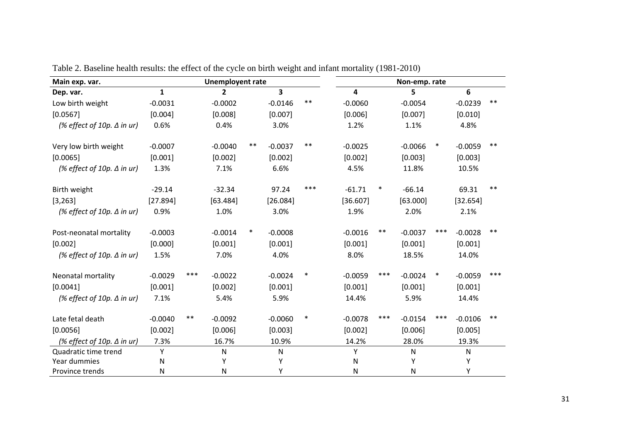| Main exp. var.                    | <b>Unemployent rate</b> |       |                |        |           |        |           |        | Non-emp. rate |        |           |       |
|-----------------------------------|-------------------------|-------|----------------|--------|-----------|--------|-----------|--------|---------------|--------|-----------|-------|
| Dep. var.                         | $\mathbf{1}$            |       | $\overline{2}$ |        | 3         |        | 4         |        | 5             |        | 6         |       |
| Low birth weight                  | $-0.0031$               |       | $-0.0002$      |        | $-0.0146$ | $***$  | $-0.0060$ |        | $-0.0054$     |        | $-0.0239$ | $***$ |
| [0.0567]                          | [0.004]                 |       | [0.008]        |        | [0.007]   |        | [0.006]   |        | [0.007]       |        | [0.010]   |       |
| (% effect of 10p. $\Delta$ in ur) | 0.6%                    |       | 0.4%           |        | 3.0%      |        | 1.2%      |        | 1.1%          |        | 4.8%      |       |
| Very low birth weight             | $-0.0007$               |       | $-0.0040$      | $***$  | $-0.0037$ | $***$  | $-0.0025$ |        | $-0.0066$     | $\ast$ | $-0.0059$ | $***$ |
| [0.0065]                          | [0.001]                 |       | [0.002]        |        | [0.002]   |        | [0.002]   |        | [0.003]       |        | [0.003]   |       |
| (% effect of 10p. $\Delta$ in ur) | 1.3%                    |       | 7.1%           |        | 6.6%      |        | 4.5%      |        | 11.8%         |        | 10.5%     |       |
| Birth weight                      | $-29.14$                |       | $-32.34$       |        | 97.24     | ***    | $-61.71$  | $\ast$ | $-66.14$      |        | 69.31     | $***$ |
| [3, 263]                          | [27.894]                |       | [63.484]       |        | [26.084]  |        | [36.607]  |        | [63.000]      |        | [32.654]  |       |
| (% effect of 10p. $\Delta$ in ur) | 0.9%                    |       | 1.0%           |        | 3.0%      |        | 1.9%      |        | 2.0%          |        | 2.1%      |       |
| Post-neonatal mortality           | $-0.0003$               |       | $-0.0014$      | $\ast$ | $-0.0008$ |        | $-0.0016$ | $***$  | $-0.0037$     | ***    | $-0.0028$ | $***$ |
| [0.002]                           | [0.000]                 |       | [0.001]        |        | [0.001]   |        | [0.001]   |        | [0.001]       |        | [0.001]   |       |
| (% effect of 10p. $\Delta$ in ur) | 1.5%                    |       | 7.0%           |        | 4.0%      |        | 8.0%      |        | 18.5%         |        | 14.0%     |       |
| Neonatal mortality                | $-0.0029$               | ***   | $-0.0022$      |        | $-0.0024$ | $\ast$ | $-0.0059$ | ***    | $-0.0024$     | $\ast$ | $-0.0059$ | ***   |
| [0.0041]                          | [0.001]                 |       | [0.002]        |        | [0.001]   |        | [0.001]   |        | [0.001]       |        | [0.001]   |       |
| (% effect of 10p. $\Delta$ in ur) | 7.1%                    |       | 5.4%           |        | 5.9%      |        | 14.4%     |        | 5.9%          |        | 14.4%     |       |
| Late fetal death                  | $-0.0040$               | $***$ | $-0.0092$      |        | $-0.0060$ | $\ast$ | $-0.0078$ | ***    | $-0.0154$     | ***    | $-0.0106$ | **    |
| [0.0056]                          | [0.002]                 |       | [0.006]        |        | [0.003]   |        | [0.002]   |        | [0.006]       |        | [0.005]   |       |
| (% effect of 10p. $\Delta$ in ur) | 7.3%                    |       | 16.7%          |        | 10.9%     |        | 14.2%     |        | 28.0%         |        | 19.3%     |       |
| Quadratic time trend              | Υ                       |       | N              |        | ${\sf N}$ |        | Y         |        | N             |        | ${\sf N}$ |       |
| Year dummies                      | N                       |       | Υ              |        | Υ         |        | N         |        | Y             |        | Υ         |       |
| Province trends                   | ${\sf N}$               |       | N              |        | Υ         |        | N         |        | N             |        | Υ         |       |

Table 2. Baseline health results: the effect of the cycle on birth weight and infant mortality (1981-2010)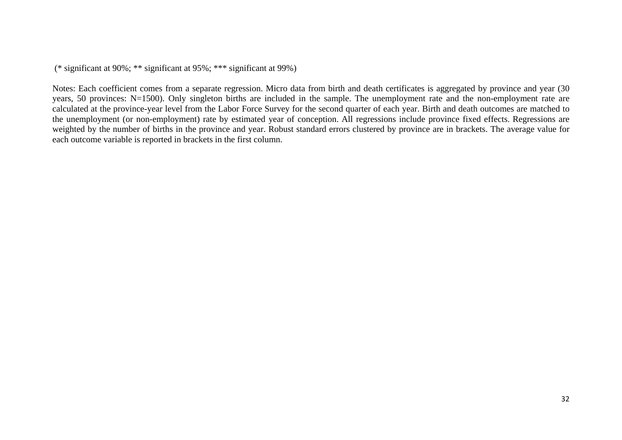Notes: Each coefficient comes from a separate regression. Micro data from birth and death certificates is aggregated by province and year (30 years, 50 provinces: N=1500). Only singleton births are included in the sample. The unemployment rate and the non-employment rate are calculated at the province-year level from the Labor Force Survey for the second quarter of each year. Birth and death outcomes are matched to the unemployment (or non-employment) rate by estimated year of conception. All regressions include province fixed effects. Regressions are weighted by the number of births in the province and year. Robust standard errors clustered by province are in brackets. The average value for each outcome variable is reported in brackets in the first column.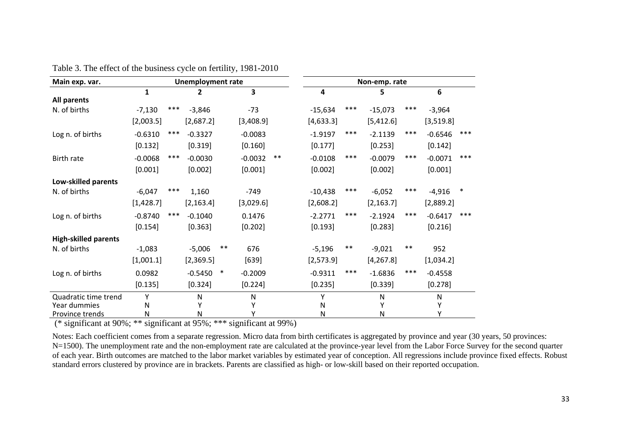| Main exp. var.              | <b>Unemployment rate</b> |       |            |        |           |       |           |       | Non-emp. rate |       |           |        |
|-----------------------------|--------------------------|-------|------------|--------|-----------|-------|-----------|-------|---------------|-------|-----------|--------|
|                             | 1                        |       | 2          |        | 3         |       | 4         |       | 5             |       | 6         |        |
| All parents                 |                          |       |            |        |           |       |           |       |               |       |           |        |
| N. of births                | $-7,130$                 | ***   | $-3,846$   |        | $-73$     |       | $-15,634$ | $***$ | $-15,073$     | ***   | $-3,964$  |        |
|                             | [2,003.5]                |       | [2,687.2]  |        | [3,408.9] |       | [4,633.3] |       | [5,412.6]     |       | [3,519.8] |        |
| Log n. of births            | $-0.6310$                | ***   | $-0.3327$  |        | $-0.0083$ |       | $-1.9197$ | $***$ | $-2.1139$     | $***$ | $-0.6546$ | $***$  |
|                             | [0.132]                  |       | [0.319]    |        | [0.160]   |       | [0.177]   |       | [0.253]       |       | [0.142]   |        |
| Birth rate                  | $-0.0068$                | $***$ | $-0.0030$  |        | $-0.0032$ | $***$ | $-0.0108$ | $***$ | $-0.0079$     | $***$ | $-0.0071$ | $***$  |
|                             | [0.001]                  |       | [0.002]    |        | [0.001]   |       | [0.002]   |       | [0.002]       |       | [0.001]   |        |
| Low-skilled parents         |                          |       |            |        |           |       |           |       |               |       |           |        |
| N. of births                | $-6,047$                 | $***$ | 1,160      |        | $-749$    |       | $-10,438$ | $***$ | $-6,052$      | ***   | $-4,916$  | $\ast$ |
|                             | [1,428.7]                |       | [2, 163.4] |        | [3,029.6] |       | [2,608.2] |       | [2, 163.7]    |       | [2,889.2] |        |
| Log n. of births            | $-0.8740$                | ***   | $-0.1040$  |        | 0.1476    |       | $-2.2771$ | $***$ | $-2.1924$     | $***$ | $-0.6417$ | $***$  |
|                             | [0.154]                  |       | [0.363]    |        | [0.202]   |       | [0.193]   |       | [0.283]       |       | [0.216]   |        |
| <b>High-skilled parents</b> |                          |       |            |        |           |       |           |       |               |       |           |        |
| N. of births                | $-1,083$                 |       | $-5,006$   | $***$  | 676       |       | $-5,196$  | $***$ | $-9,021$      | $***$ | 952       |        |
|                             | [1,001.1]                |       | [2,369.5]  |        | $[639]$   |       | [2,573.9] |       | [4, 267.8]    |       | [1,034.2] |        |
| Log n. of births            | 0.0982                   |       | $-0.5450$  | $\ast$ | $-0.2009$ |       | $-0.9311$ | ***   | $-1.6836$     | ***   | $-0.4558$ |        |
|                             | [0.135]                  |       | [0.324]    |        | [0.224]   |       | [0.235]   |       | [0.339]       |       | [0.278]   |        |
| Quadratic time trend        | Υ                        |       | N          |        | N         |       | Υ         |       | N             |       | ${\sf N}$ |        |
| Year dummies                | N                        |       |            |        | Υ         |       | N         |       |               |       | Υ         |        |
| Province trends             | N                        |       | N          |        | Υ         |       | ${\sf N}$ |       | Ν             |       | Υ         |        |

Table 3. The effect of the business cycle on fertility, 1981-2010

Notes: Each coefficient comes from a separate regression. Micro data from birth certificates is aggregated by province and year (30 years, 50 provinces: N=1500). The unemployment rate and the non-employment rate are calculated at the province-year level from the Labor Force Survey for the second quarter of each year. Birth outcomes are matched to the labor market variables by estimated year of conception. All regressions include province fixed effects. Robust standard errors clustered by province are in brackets. Parents are classified as high- or low-skill based on their reported occupation.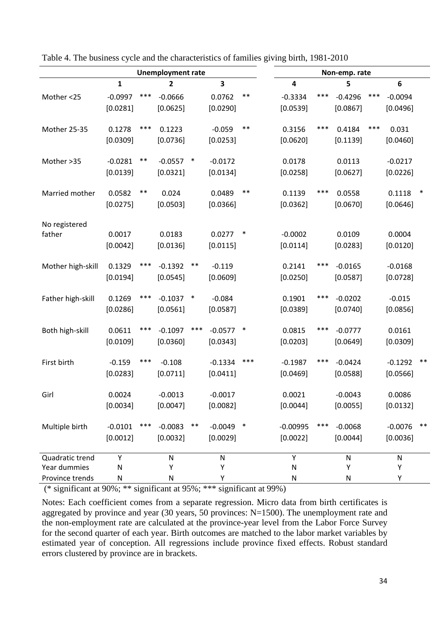| <b>Unemployment rate</b> |           |       |           |        |             |        |            |       | Non-emp. rate |     |           |        |
|--------------------------|-----------|-------|-----------|--------|-------------|--------|------------|-------|---------------|-----|-----------|--------|
|                          | 1         |       | 2         |        | 3           |        | 4          |       | 5             |     | 6         |        |
| Mother <25               | $-0.0997$ | ***   | $-0.0666$ |        | 0.0762      | $***$  | $-0.3334$  | ***   | $-0.4296$     | *** | $-0.0094$ |        |
|                          | [0.0281]  |       | [0.0625]  |        | [0.0290]    |        | [0.0539]   |       | [0.0867]      |     | [0.0496]  |        |
| Mother 25-35             | 0.1278    | $***$ | 0.1223    |        | $-0.059$    | $***$  | 0.3156     | $***$ | 0.4184        | *** | 0.031     |        |
|                          | [0.0309]  |       | [0.0736]  |        | [0.0253]    |        | [0.0620]   |       | [0.1139]      |     | [0.0460]  |        |
| Mother >35               | $-0.0281$ | $***$ | $-0.0557$ | $\ast$ | $-0.0172$   |        | 0.0178     |       | 0.0113        |     | $-0.0217$ |        |
|                          | [0.0139]  |       | [0.0321]  |        | [0.0134]    |        | [0.0258]   |       | [0.0627]      |     | [0.0226]  |        |
| Married mother           | 0.0582    | **    | 0.024     |        | 0.0489      | $***$  | 0.1139     | ***   | 0.0558        |     | 0.1118    | $\ast$ |
|                          | [0.0275]  |       | [0.0503]  |        | [0.0366]    |        | [0.0362]   |       | [0.0670]      |     | [0.0646]  |        |
| No registered<br>father  | 0.0017    |       | 0.0183    |        | 0.0277      | $\ast$ | $-0.0002$  |       | 0.0109        |     | 0.0004    |        |
|                          | [0.0042]  |       | [0.0136]  |        | [0.0115]    |        | [0.0114]   |       | [0.0283]      |     | [0.0120]  |        |
| Mother high-skill        | 0.1329    | $***$ | $-0.1392$ | $***$  | $-0.119$    |        | 0.2141     | ***   | $-0.0165$     |     | $-0.0168$ |        |
|                          | [0.0194]  |       | [0.0545]  |        | [0.0609]    |        | [0.0250]   |       | [0.0587]      |     | [0.0728]  |        |
| Father high-skill        | 0.1269    | $***$ | $-0.1037$ | $\ast$ | $-0.084$    |        | 0.1901     | ***   | $-0.0202$     |     | $-0.015$  |        |
|                          | [0.0286]  |       | [0.0561]  |        | [0.0587]    |        | [0.0389]   |       | [0.0740]      |     | [0.0856]  |        |
| Both high-skill          | 0.0611    | ***   | $-0.1097$ | ***    | $-0.0577$   | $\ast$ | 0.0815     | ***   | $-0.0777$     |     | 0.0161    |        |
|                          | [0.0109]  |       | [0.0360]  |        | [0.0343]    |        | [0.0203]   |       | [0.0649]      |     | [0.0309]  |        |
| First birth              | $-0.159$  | ***   | $-0.108$  |        | $-0.1334$   | ***    | $-0.1987$  | ***   | $-0.0424$     |     | $-0.1292$ | $***$  |
|                          | [0.0283]  |       | [0.0711]  |        | [0.0411]    |        | [0.0469]   |       | [0.0588]      |     | [0.0566]  |        |
| Girl                     | 0.0024    |       | $-0.0013$ |        | $-0.0017$   |        | 0.0021     |       | $-0.0043$     |     | 0.0086    |        |
|                          | [0.0034]  |       | [0.0047]  |        | [0.0082]    |        | [0.0044]   |       | [0.0055]      |     | [0.0132]  |        |
| Multiple birth           | $-0.0101$ | ***   | $-0.0083$ | $***$  | $-0.0049$ * |        | $-0.00995$ | ***   | $-0.0068$     |     | $-0.0076$ | $***$  |
|                          | [0.0012]  |       | [0.0032]  |        | [0.0029]    |        | [0.0022]   |       | [0.0044]      |     | [0.0036]  |        |
| Quadratic trend          | Υ         |       | N         |        | N           |        | Υ          |       | N             |     | N         |        |
| Year dummies             | N         |       | Υ         |        | Υ           |        | N          |       | Υ             |     | Υ         |        |
| Province trends          | N         |       | N         |        |             |        | Ν          |       | N             |     | Y         |        |

Table 4. The business cycle and the characteristics of families giving birth, 1981-2010

Notes: Each coefficient comes from a separate regression. Micro data from birth certificates is aggregated by province and year (30 years, 50 provinces: N=1500). The unemployment rate and the non-employment rate are calculated at the province-year level from the Labor Force Survey for the second quarter of each year. Birth outcomes are matched to the labor market variables by estimated year of conception. All regressions include province fixed effects. Robust standard errors clustered by province are in brackets.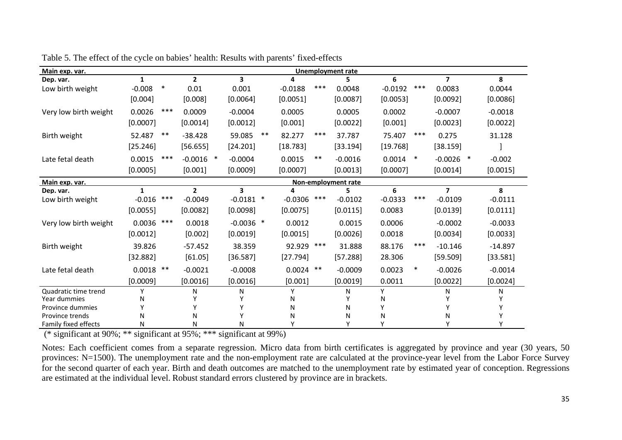| Main exp. var.        |              |        |                |                         |        |             |       | <b>Unemployment rate</b> |           |        |                         |           |
|-----------------------|--------------|--------|----------------|-------------------------|--------|-------------|-------|--------------------------|-----------|--------|-------------------------|-----------|
| Dep. var.             | $\mathbf{1}$ |        | $\overline{2}$ | $\overline{\mathbf{3}}$ |        | Δ           |       | 5                        | 6         |        | $\overline{\mathbf{z}}$ | 8         |
| Low birth weight      | $-0.008$     | $\ast$ | 0.01           | 0.001                   |        | $-0.0188$   | ***   | 0.0048                   | $-0.0192$ | $***$  | 0.0083                  | 0.0044    |
|                       | [0.004]      |        | [0.008]        | [0.0064]                |        | [0.0051]    |       | [0.0087]                 | [0.0053]  |        | [0.0092]                | [0.0086]  |
| Very low birth weight | 0.0026       | ***    | 0.0009         | $-0.0004$               |        | 0.0005      |       | 0.0005                   | 0.0002    |        | $-0.0007$               | $-0.0018$ |
|                       | [0.0007]     |        | [0.0014]       | [0.0012]                |        | [0.001]     |       | [0.0022]                 | [0.001]   |        | [0.0023]                | [0.0022]  |
| Birth weight          | 52.487       | $***$  | $-38.428$      | 59.085                  | $***$  | 82.277      | $***$ | 37.787                   | 75.407    | $***$  | 0.275                   | 31.128    |
|                       | [25.246]     |        | [56.655]       | [24.201]                |        | [18.783]    |       | [33.194]                 | [19.768]  |        | [38.159]                |           |
| Late fetal death      | 0.0015       | ***    | $-0.0016$ *    | $-0.0004$               |        | 0.0015      | **    | $-0.0016$                | 0.0014    | $\ast$ | $-0.0026$ *             | $-0.002$  |
|                       | [0.0005]     |        | [0.001]        | [0.0009]                |        | [0.0007]    |       | [0.0013]                 | [0.0007]  |        | [0.0014]                | [0.0015]  |
| Main exp. var.        |              |        |                |                         |        |             |       | Non-employment rate      |           |        |                         |           |
| Dep. var.             | 1            |        | $\overline{2}$ | 3                       |        |             |       |                          | 6         |        | $\overline{\mathbf{z}}$ | 8         |
| Low birth weight      | $-0.016$     | ***    | $-0.0049$      | $-0.0181$               | $\ast$ | $-0.0306$   | ***   | $-0.0102$                | $-0.0333$ | $***$  | $-0.0109$               | $-0.0111$ |
|                       | [0.0055]     |        | [0.0082]       | [0.0098]                |        | [0.0075]    |       | [0.0115]                 | 0.0083    |        | [0.0139]                | [0.0111]  |
| Very low birth weight | 0.0036       | ***    | 0.0018         | $-0.0036$ *             |        | 0.0012      |       | 0.0015                   | 0.0006    |        | $-0.0002$               | $-0.0033$ |
|                       | [0.0012]     |        | [0.002]        | [0.0019]                |        | [0.0015]    |       | [0.0026]                 | 0.0018    |        | [0.0034]                | [0.0033]  |
| Birth weight          | 39.826       |        | $-57.452$      | 38.359                  |        | 92.929      | ***   | 31.888                   | 88.176    | ***    | $-10.146$               | $-14.897$ |
|                       | [32.882]     |        | [61.05]        | [36.587]                |        | [27.794]    |       | [57.288]                 | 28.306    |        | [59.509]                | [33.581]  |
| Late fetal death      | 0.0018       | $***$  | $-0.0021$      | $-0.0008$               |        | $0.0024$ ** |       | $-0.0009$                | 0.0023    | $\ast$ | $-0.0026$               | $-0.0014$ |
|                       | [0.0009]     |        | [0.0016]       | [0.0016]                |        | [0.001]     |       | [0.0019]                 | 0.0011    |        | [0.0022]                | [0.0024]  |
| Quadratic time trend  | Υ            |        | N              | N                       |        | Υ           |       | N                        | Y         |        | N                       | N         |
| Year dummies          | N            |        |                |                         |        | N           |       |                          | N         |        |                         |           |
| Province dummies      | ٧            |        |                |                         |        | N           |       | N                        |           |        |                         |           |
| Province trends       | Ν            |        | N              |                         |        | N           |       | N                        | Ν         |        | N                       |           |
| Family fixed effects  | Ν            |        | N              | N                       |        |             |       | ٧                        |           |        |                         |           |

Table 5. The effect of the cycle on babies' health: Results with parents' fixed-effects

Notes: Each coefficient comes from a separate regression. Micro data from birth certificates is aggregated by province and year (30 years, 50 provinces: N=1500). The unemployment rate and the non-employment rate are calculated at the province-year level from the Labor Force Survey for the second quarter of each year. Birth and death outcomes are matched to the unemployment rate by estimated year of conception. Regressions are estimated at the individual level. Robust standard errors clustered by province are in brackets.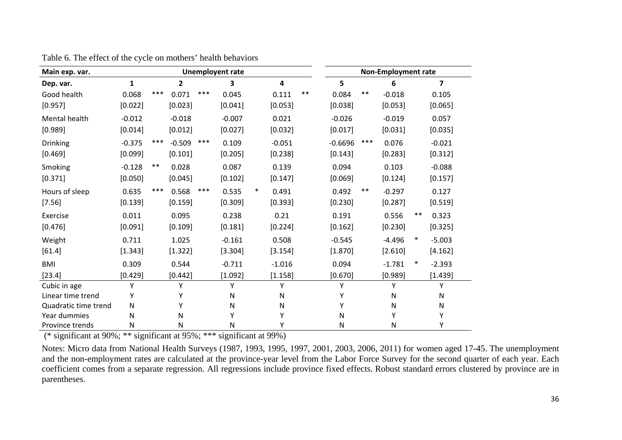| <b>Unemployent rate</b><br>Main exp. var. |              |       |          |       |          |        |           |            |           |       | <b>Non-Employment rate</b> |        |                |
|-------------------------------------------|--------------|-------|----------|-------|----------|--------|-----------|------------|-----------|-------|----------------------------|--------|----------------|
| Dep. var.                                 | $\mathbf{1}$ |       | 2        |       | 3        |        | 4         |            | 5         |       | 6                          |        | $\overline{ }$ |
| Good health                               | 0.068        | $***$ | 0.071    | ***   | 0.045    |        | 0.111     | $\ast\ast$ | 0.084     | $***$ | $-0.018$                   |        | 0.105          |
| [0.957]                                   | [0.022]      |       | [0.023]  |       | [0.041]  |        | [0.053]   |            | [0.038]   |       | [0.053]                    |        | [0.065]        |
| Mental health                             | $-0.012$     |       | $-0.018$ |       | $-0.007$ |        | 0.021     |            | $-0.026$  |       | $-0.019$                   |        | 0.057          |
| [0.989]                                   | [0.014]      |       | [0.012]  |       | [0.027]  |        | [0.032]   |            | [0.017]   |       | [0.031]                    |        | [0.035]        |
| Drinking                                  | $-0.375$     | $***$ | $-0.509$ | $***$ | 0.109    |        | $-0.051$  |            | $-0.6696$ | $***$ | 0.076                      |        | $-0.021$       |
| [0.469]                                   | [0.099]      |       | [0.101]  |       | [0.205]  |        | [0.238]   |            | [0.143]   |       | [0.283]                    |        | [0.312]        |
| Smoking                                   | $-0.128$     | $***$ | 0.028    |       | 0.087    |        | 0.139     |            | 0.094     |       | 0.103                      |        | $-0.088$       |
| [0.371]                                   | [0.050]      |       | [0.045]  |       | [0.102]  |        | [0.147]   |            | [0.069]   |       | [0.124]                    |        | [0.157]        |
| Hours of sleep                            | 0.635        | ***   | 0.568    | $***$ | 0.535    | $\ast$ | 0.491     |            | 0.492     | $***$ | $-0.297$                   |        | 0.127          |
| [7.56]                                    | [0.139]      |       | [0.159]  |       | [0.309]  |        | [0.393]   |            | [0.230]   |       | [0.287]                    |        | [0.519]        |
| Exercise                                  | 0.011        |       | 0.095    |       | 0.238    |        | 0.21      |            | 0.191     |       | 0.556                      | $***$  | 0.323          |
| [0.476]                                   | [0.091]      |       | [0.109]  |       | [0.181]  |        | [0.224]   |            | [0.162]   |       | [0.230]                    |        | [0.325]        |
| Weight                                    | 0.711        |       | 1.025    |       | $-0.161$ |        | 0.508     |            | $-0.545$  |       | $-4.496$                   | $\ast$ | $-5.003$       |
| [61.4]                                    | [1.343]      |       | [1.322]  |       | [3.304]  |        | [3.154]   |            | [1.870]   |       | [2.610]                    |        | [4.162]        |
| <b>BMI</b>                                | 0.309        |       | 0.544    |       | $-0.711$ |        | $-1.016$  |            | 0.094     |       | $-1.781$                   | $\ast$ | $-2.393$       |
| [23.4]                                    | [0.429]      |       | [0.442]  |       | [1.092]  |        | [1.158]   |            | [0.670]   |       | [0.989]                    |        | [1.439]        |
| Cubic in age                              | Υ            |       | Y        |       | γ        |        | Υ         |            | Y         |       | Υ                          |        | Y              |
| Linear time trend                         | Υ            |       | Υ        |       | N        |        | ${\sf N}$ |            | Υ         |       | N                          |        | N              |
| Quadratic time trend                      | N            |       | Υ        |       | N        |        | N         |            | Y         |       | N                          |        | Ν              |
| Year dummies                              | N            |       | Ν        |       | γ        |        | Υ         |            | ${\sf N}$ |       | Υ                          |        | Y              |
| Province trends                           | Ν            |       | Ν        |       | N        |        | Υ         |            | N         |       | N                          |        | Υ              |

Table 6. The effect of the cycle on mothers' health behaviors

Notes: Micro data from National Health Surveys (1987, 1993, 1995, 1997, 2001, 2003, 2006, 2011) for women aged 17-45. The unemployment and the non-employment rates are calculated at the province-year level from the Labor Force Survey for the second quarter of each year. Each coefficient comes from a separate regression. All regressions include province fixed effects. Robust standard errors clustered by province are in parentheses.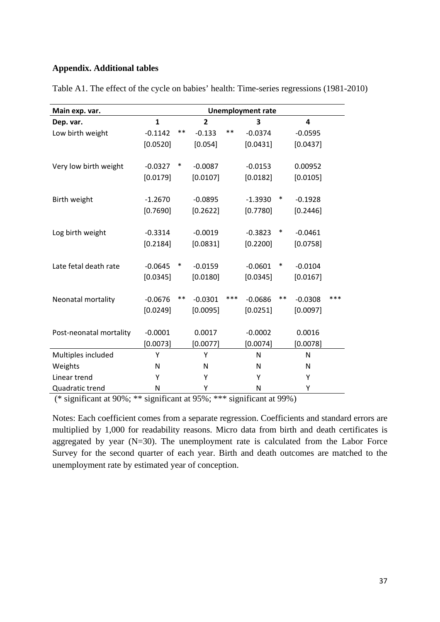#### **Appendix. Additional tables**

| Main exp. var.          |              |        |                |       | <b>Unemployment rate</b> |        |                         |     |
|-------------------------|--------------|--------|----------------|-------|--------------------------|--------|-------------------------|-----|
| Dep. var.               | $\mathbf{1}$ |        | $\overline{2}$ |       | 3                        |        | $\overline{\mathbf{4}}$ |     |
| Low birth weight        | $-0.1142$    | **     | $-0.133$       | $***$ | $-0.0374$                |        | $-0.0595$               |     |
|                         | [0.0520]     |        | [0.054]        |       | [0.0431]                 |        | [0.0437]                |     |
| Very low birth weight   | $-0.0327$    | $\ast$ | $-0.0087$      |       | $-0.0153$                |        | 0.00952                 |     |
|                         | [0.0179]     |        | [0.0107]       |       | [0.0182]                 |        | [0.0105]                |     |
| Birth weight            | $-1.2670$    |        | $-0.0895$      |       | $-1.3930$                | $\ast$ | $-0.1928$               |     |
|                         | [0.7690]     |        | [0.2622]       |       | [0.7780]                 |        | [0.2446]                |     |
| Log birth weight        | $-0.3314$    |        | $-0.0019$      |       | $-0.3823$                | $\ast$ | $-0.0461$               |     |
|                         | [0.2184]     |        | [0.0831]       |       | [0.2200]                 |        | [0.0758]                |     |
| Late fetal death rate   | $-0.0645$    | $\ast$ | $-0.0159$      |       | $-0.0601$                | $\ast$ | $-0.0104$               |     |
|                         | [0.0345]     |        | [0.0180]       |       | [0.0345]                 |        | [0.0167]                |     |
| Neonatal mortality      | $-0.0676$    | $***$  | $-0.0301$      | ***   | $-0.0686$                | $***$  | $-0.0308$               | *** |
|                         | [0.0249]     |        | [0.0095]       |       | [0.0251]                 |        | [0.0097]                |     |
| Post-neonatal mortality | $-0.0001$    |        | 0.0017         |       | $-0.0002$                |        | 0.0016                  |     |
|                         | [0.0073]     |        | [0.0077]       |       | [0.0074]                 |        | [0.0078]                |     |
| Multiples included      | Υ            |        | Y              |       | $\mathsf{N}$             |        | N                       |     |
| Weights                 | N            |        | N              |       | N                        |        | N                       |     |
| Linear trend            | Υ            |        | Υ              |       | Υ                        |        | Υ                       |     |
| Quadratic trend         | N            |        | Υ              |       | N                        |        | Υ                       |     |

Table A1. The effect of the cycle on babies' health: Time-series regressions (1981-2010)

(\* significant at 90%; \*\* significant at 95%; \*\*\* significant at 99%)

Notes: Each coefficient comes from a separate regression. Coefficients and standard errors are multiplied by 1,000 for readability reasons. Micro data from birth and death certificates is aggregated by year  $(N=30)$ . The unemployment rate is calculated from the Labor Force Survey for the second quarter of each year. Birth and death outcomes are matched to the unemployment rate by estimated year of conception.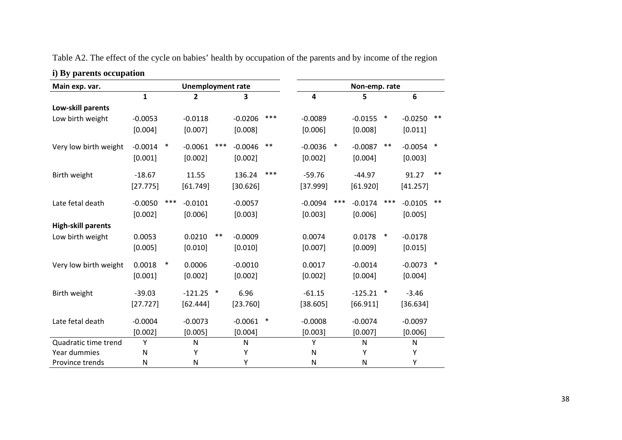| i) By parents occupation  |              |        |                          |        |           |        |           |        |               |        |           |        |
|---------------------------|--------------|--------|--------------------------|--------|-----------|--------|-----------|--------|---------------|--------|-----------|--------|
| Main exp. var.            |              |        | <b>Unemployment rate</b> |        |           |        |           |        | Non-emp. rate |        |           |        |
|                           | $\mathbf{1}$ |        | $\overline{2}$           |        | 3         |        | 4         |        | 5             |        | 6         |        |
| Low-skill parents         |              |        |                          |        |           |        |           |        |               |        |           |        |
| Low birth weight          | $-0.0053$    |        | $-0.0118$                |        | $-0.0206$ | ***    | $-0.0089$ |        | $-0.0155$     | $\ast$ | $-0.0250$ | $***$  |
|                           | [0.004]      |        | [0.007]                  |        | [0.008]   |        | [0.006]   |        | [0.008]       |        | [0.011]   |        |
| Very low birth weight     | $-0.0014$    | $\ast$ | $-0.0061$                | ***    | $-0.0046$ | $***$  | $-0.0036$ | $\ast$ | $-0.0087$     | $***$  | $-0.0054$ | $\ast$ |
|                           | [0.001]      |        | [0.002]                  |        | [0.002]   |        | [0.002]   |        | [0.004]       |        | [0.003]   |        |
| Birth weight              | $-18.67$     |        | 11.55                    |        | 136.24    | ***    | $-59.76$  |        | $-44.97$      |        | 91.27     | $***$  |
|                           | [27.775]     |        | [61.749]                 |        | [30.626]  |        | [37.999]  |        | [61.920]      |        | [41.257]  |        |
| Late fetal death          | $-0.0050$    | ***    | $-0.0101$                |        | $-0.0057$ |        | $-0.0094$ | ***    | $-0.0174$     | ***    | $-0.0105$ | $***$  |
|                           | [0.002]      |        | [0.006]                  |        | [0.003]   |        | [0.003]   |        | [0.006]       |        | [0.005]   |        |
| <b>High-skill parents</b> |              |        |                          |        |           |        |           |        |               |        |           |        |
| Low birth weight          | 0.0053       |        | 0.0210                   | $***$  | $-0.0009$ |        | 0.0074    |        | 0.0178        | $\ast$ | $-0.0178$ |        |
|                           | [0.005]      |        | [0.010]                  |        | [0.010]   |        | [0.007]   |        | [0.009]       |        | [0.015]   |        |
| Very low birth weight     | 0.0018       | $\ast$ | 0.0006                   |        | $-0.0010$ |        | 0.0017    |        | $-0.0014$     |        | $-0.0073$ | $\ast$ |
|                           | [0.001]      |        | [0.002]                  |        | [0.002]   |        | [0.002]   |        | [0.004]       |        | [0.004]   |        |
| Birth weight              | $-39.03$     |        | $-121.25$                | $\ast$ | 6.96      |        | $-61.15$  |        | $-125.21$     | $\ast$ | $-3.46$   |        |
|                           | [27.727]     |        | [62.444]                 |        | [23.760]  |        | [38.605]  |        | [66.911]      |        | [36.634]  |        |
| Late fetal death          | $-0.0004$    |        | $-0.0073$                |        | $-0.0061$ | $\ast$ | $-0.0008$ |        | $-0.0074$     |        | $-0.0097$ |        |
|                           | [0.002]      |        | [0.005]                  |        | [0.004]   |        | [0.003]   |        | [0.007]       |        | [0.006]   |        |
| Quadratic time trend      | Y            |        | N                        |        | N         |        | Υ         |        | N             |        | N         |        |
| Year dummies              | N            |        | Υ                        |        | Y         |        | N         |        | Υ             |        | Υ         |        |
| Province trends           | $\mathsf{N}$ |        | ${\sf N}$                |        | Υ         |        | N         |        | N             |        | Υ         |        |

Table A2. The effect of the cycle on babies' health by occupation of the parents and by income of the region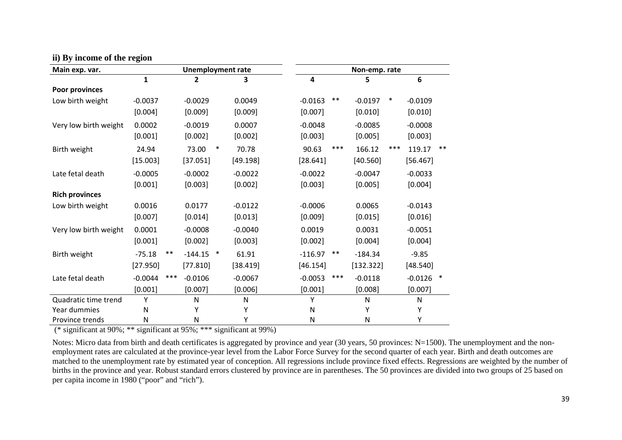| Main exp. var.        |           |       | <b>Unemployment rate</b> |        |           |              |       | Non-emp. rate |        |              |        |
|-----------------------|-----------|-------|--------------------------|--------|-----------|--------------|-------|---------------|--------|--------------|--------|
|                       | 1         |       | $\mathbf{2}$             |        | 3         | 4            |       | 5             |        | 6            |        |
| Poor provinces        |           |       |                          |        |           |              |       |               |        |              |        |
| Low birth weight      | $-0.0037$ |       | $-0.0029$                |        | 0.0049    | $-0.0163$    | $***$ | $-0.0197$     | $\ast$ | $-0.0109$    |        |
|                       | [0.004]   |       | [0.009]                  |        | [0.009]   | [0.007]      |       | [0.010]       |        | [0.010]      |        |
| Very low birth weight | 0.0002    |       | $-0.0019$                |        | 0.0007    | $-0.0048$    |       | $-0.0085$     |        | $-0.0008$    |        |
|                       | [0.001]   |       | [0.002]                  |        | [0.002]   | [0.003]      |       | [0.005]       |        | [0.003]      |        |
| Birth weight          | 24.94     |       | 73.00                    | $\ast$ | 70.78     | 90.63        | $***$ | 166.12        | ***    | 119.17       | $***$  |
|                       | [15.003]  |       | [37.051]                 |        | [49.198]  | [28.641]     |       | [40.560]      |        | [56.467]     |        |
| Late fetal death      | $-0.0005$ |       | $-0.0002$                |        | $-0.0022$ | $-0.0022$    |       | $-0.0047$     |        | $-0.0033$    |        |
|                       | [0.001]   |       | [0.003]                  |        | [0.002]   | [0.003]      |       | [0.005]       |        | [0.004]      |        |
| <b>Rich provinces</b> |           |       |                          |        |           |              |       |               |        |              |        |
| Low birth weight      | 0.0016    |       | 0.0177                   |        | $-0.0122$ | $-0.0006$    |       | 0.0065        |        | $-0.0143$    |        |
|                       | [0.007]   |       | [0.014]                  |        | [0.013]   | [0.009]      |       | [0.015]       |        | [0.016]      |        |
| Very low birth weight | 0.0001    |       | $-0.0008$                |        | $-0.0040$ | 0.0019       |       | 0.0031        |        | $-0.0051$    |        |
|                       | [0.001]   |       | [0.002]                  |        | [0.003]   | [0.002]      |       | [0.004]       |        | [0.004]      |        |
| Birth weight          | $-75.18$  | $***$ | $-144.15$                | $\ast$ | 61.91     | $-116.97$    | $***$ | $-184.34$     |        | $-9.85$      |        |
|                       | [27.950]  |       | [77.810]                 |        | [38.419]  | [46.154]     |       | [132.322]     |        | [48.540]     |        |
| Late fetal death      | $-0.0044$ | $***$ | $-0.0106$                |        | $-0.0067$ | $-0.0053$    | $***$ | $-0.0118$     |        | $-0.0126$    | $\ast$ |
|                       | [0.001]   |       | [0.007]                  |        | [0.006]   | [0.001]      |       | [0.008]       |        | [0.007]      |        |
| Quadratic time trend  | Υ         |       | N                        |        | ${\sf N}$ | Υ            |       | N             |        | $\mathsf{N}$ |        |
| Year dummies          | N         |       | Y                        |        | Υ         | N            |       | Y             |        | Υ            |        |
| Province trends       | ${\sf N}$ |       | N                        |        | Υ         | $\mathsf{N}$ |       | ${\sf N}$     |        | Υ            |        |

#### **ii) By income of the region**

(\* significant at 90%; \*\* significant at 95%; \*\*\* significant at 99%)

Notes: Micro data from birth and death certificates is aggregated by province and year (30 years, 50 provinces: N=1500). The unemployment and the nonemployment rates are calculated at the province-year level from the Labor Force Survey for the second quarter of each year. Birth and death outcomes are matched to the unemployment rate by estimated year of conception. All regressions include province fixed effects. Regressions are weighted by the number of births in the province and year. Robust standard errors clustered by province are in parentheses. The 50 provinces are divided into two groups of 25 based on per capita income in 1980 ("poor" and "rich").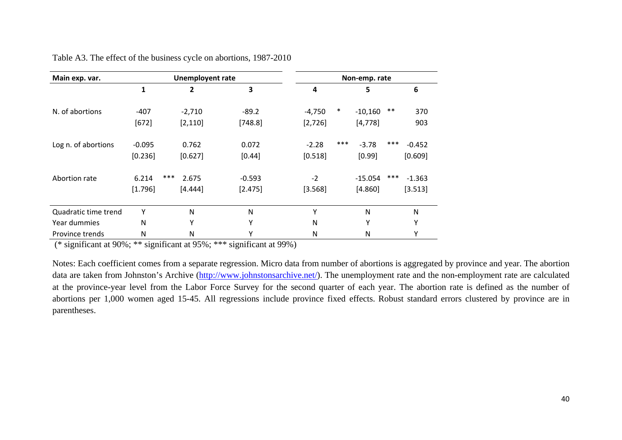| Main exp. var.       |          | <b>Unemployent rate</b> |          |          | Non-emp. rate                |          |
|----------------------|----------|-------------------------|----------|----------|------------------------------|----------|
|                      | 1        | 2                       | 3        | 4        | 5                            | 6        |
| N. of abortions      | $-407$   | $-2,710$                | $-89.2$  | $-4,750$ | $\ast$<br>$***$<br>$-10,160$ | 370      |
|                      | $[672]$  | [2, 110]                | [748.8]  | [2,726]  | [4, 778]                     | 903      |
| Log n. of abortions  | $-0.095$ | 0.762                   | 0.072    | $-2.28$  | ***<br>***<br>$-3.78$        | $-0.452$ |
|                      | [0.236]  | [0.627]                 | [0.44]   | [0.518]  | [0.99]                       | [0.609]  |
| Abortion rate        | 6.214    | ***<br>2.675            | $-0.593$ | $-2$     | ***<br>$-15.054$             | $-1.363$ |
|                      | [1.796]  | [4.444]                 | [2.475]  | [3.568]  | [4.860]                      | [3.513]  |
| Quadratic time trend | Υ        | $\mathsf{N}$            | N        | $\vee$   | N                            | N        |
| Year dummies         | N        | Y                       | Υ        | N        | Υ                            | Υ        |
| Province trends      | N        | N                       | Υ        | N        | N                            | Υ        |

Table A3. The effect of the business cycle on abortions, 1987-2010

(\* significant at 90%; \*\* significant at 95%; \*\*\* significant at 99%)

Notes: Each coefficient comes from a separate regression. Micro data from number of abortions is aggregated by province and year. The abortion data are taken from Johnston's Archive (http://www.johnstonsarchive.net/). The unemployment rate and the non-employment rate are calculated at the province-year level from the Labor Force Survey for the second quarter of each year. The abortion rate is defined as the number of abortions per 1,000 women aged 15-45. All regressions include province fixed effects. Robust standard errors clustered by province are in parentheses.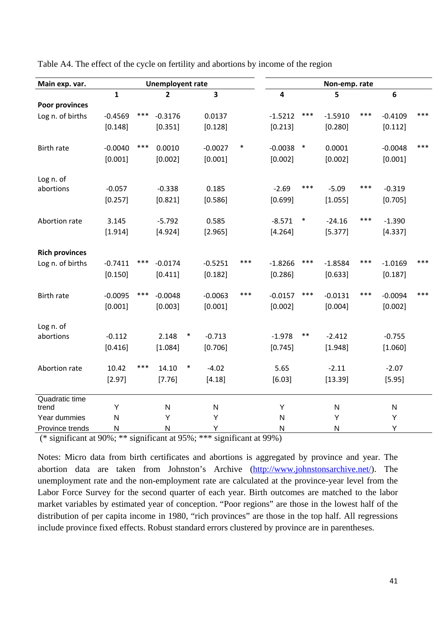| Main exp. var.        | <b>Unemployent rate</b> |       |              |        |           |        |                         |        | Non-emp. rate |       |           |       |
|-----------------------|-------------------------|-------|--------------|--------|-----------|--------|-------------------------|--------|---------------|-------|-----------|-------|
|                       | $\mathbf{1}$            |       | 2            |        | 3         |        | $\overline{\mathbf{4}}$ |        | 5             |       | $\bf 6$   |       |
| Poor provinces        |                         |       |              |        |           |        |                         |        |               |       |           |       |
| Log n. of births      | $-0.4569$               | ***   | $-0.3176$    |        | 0.0137    |        | $-1.5212$               | ***    | $-1.5910$     | ***   | $-0.4109$ | ***   |
|                       | [0.148]                 |       | [0.351]      |        | [0.128]   |        | [0.213]                 |        | [0.280]       |       | [0.112]   |       |
| Birth rate            | $-0.0040$               | ***   | 0.0010       |        | $-0.0027$ | $\ast$ | $-0.0038$               | $\ast$ | 0.0001        |       | $-0.0048$ | ***   |
|                       | [0.001]                 |       | [0.002]      |        | [0.001]   |        | [0.002]                 |        | [0.002]       |       | [0.001]   |       |
| Log n. of             |                         |       |              |        |           |        |                         |        |               |       |           |       |
| abortions             | $-0.057$                |       | $-0.338$     |        | 0.185     |        | $-2.69$                 | ***    | $-5.09$       | ***   | $-0.319$  |       |
|                       | [0.257]                 |       | [0.821]      |        | [0.586]   |        | [0.699]                 |        | [1.055]       |       | [0.705]   |       |
| Abortion rate         | 3.145                   |       | $-5.792$     |        | 0.585     |        | $-8.571$                | $\ast$ | $-24.16$      | $***$ | $-1.390$  |       |
|                       | [1.914]                 |       | [4.924]      |        | [2.965]   |        | [4.264]                 |        | [5.377]       |       | [4.337]   |       |
| <b>Rich provinces</b> |                         |       |              |        |           |        |                         |        |               |       |           |       |
| Log n. of births      | $-0.7411$               | ***   | $-0.0174$    |        | $-0.5251$ | ***    | $-1.8266$               | ***    | $-1.8584$     | ***   | $-1.0169$ | ***   |
|                       | [0.150]                 |       | [0.411]      |        | [0.182]   |        | [0.286]                 |        | [0.633]       |       | [0.187]   |       |
| <b>Birth rate</b>     | $-0.0095$               | $***$ | $-0.0048$    |        | $-0.0063$ | ***    | $-0.0157$               | ***    | $-0.0131$     | ***   | $-0.0094$ | $***$ |
|                       | [0.001]                 |       | [0.003]      |        | [0.001]   |        | [0.002]                 |        | [0.004]       |       | [0.002]   |       |
| Log n. of             |                         |       |              |        |           |        |                         |        |               |       |           |       |
| abortions             | $-0.112$                |       | 2.148        | $\ast$ | $-0.713$  |        | $-1.978$                | $***$  | $-2.412$      |       | $-0.755$  |       |
|                       | [0.416]                 |       | [1.084]      |        | [0.706]   |        | [0.745]                 |        | [1.948]       |       | [1.060]   |       |
| Abortion rate         | 10.42                   | $***$ | 14.10        | $\ast$ | $-4.02$   |        | 5.65                    |        | $-2.11$       |       | $-2.07$   |       |
|                       | [2.97]                  |       | [7.76]       |        | [4.18]    |        | [6.03]                  |        | [13.39]       |       | [5.95]    |       |
| Quadratic time        |                         |       |              |        |           |        |                         |        |               |       |           |       |
| trend                 | Υ                       |       | $\mathsf{N}$ |        | ${\sf N}$ |        | Υ                       |        | ${\sf N}$     |       | ${\sf N}$ |       |
| Year dummies          | N                       |       | Y            |        | Υ         |        | N                       |        | Y             |       | Y         |       |
| Province trends       | N                       |       | ${\sf N}$    |        | Υ         |        | $\mathsf{N}$            |        | $\mathsf{N}$  |       | Υ         |       |

Table A4. The effect of the cycle on fertility and abortions by income of the region

Notes: Micro data from birth certificates and abortions is aggregated by province and year. The abortion data are taken from Johnston's Archive (http://www.johnstonsarchive.net/). The unemployment rate and the non-employment rate are calculated at the province-year level from the Labor Force Survey for the second quarter of each year. Birth outcomes are matched to the labor market variables by estimated year of conception. "Poor regions" are those in the lowest half of the distribution of per capita income in 1980, "rich provinces" are those in the top half. All regressions include province fixed effects. Robust standard errors clustered by province are in parentheses.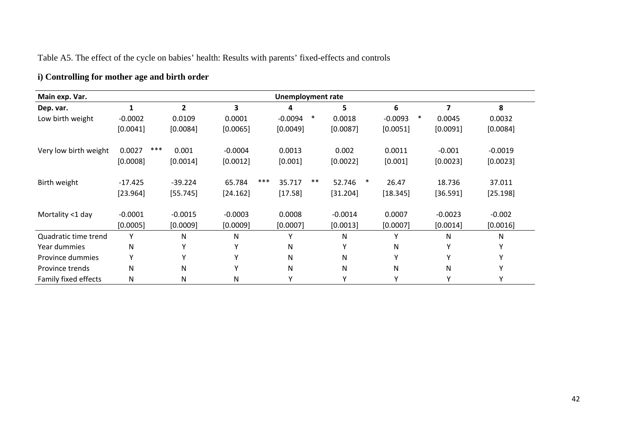# Table A5. The effect of the cycle on babies' health: Results with parents' fixed-effects and controls

# **i) Controlling for mother age and birth order**

| Main exp. Var.        | <b>Unemployment rate</b> |           |               |                     |                  |                     |              |           |  |  |  |  |
|-----------------------|--------------------------|-----------|---------------|---------------------|------------------|---------------------|--------------|-----------|--|--|--|--|
| Dep. var.             | 1                        | 2         | 3             | 4                   | 5                | 6                   | 7            | 8         |  |  |  |  |
| Low birth weight      | $-0.0002$                | 0.0109    | 0.0001        | $\ast$<br>$-0.0094$ | 0.0018           | $\ast$<br>$-0.0093$ | 0.0045       | 0.0032    |  |  |  |  |
|                       | [0.0041]                 | [0.0084]  | [0.0065]      | [0.0049]            | [0.0087]         | [0.0051]            | [0.0091]     | [0.0084]  |  |  |  |  |
| Very low birth weight | ***<br>0.0027            | 0.001     | $-0.0004$     | 0.0013              | 0.002            | 0.0011              | $-0.001$     | $-0.0019$ |  |  |  |  |
|                       | [0.0008]                 | [0.0014]  | [0.0012]      | [0.001]             | [0.0022]         | [0.001]             | [0.0023]     | [0.0023]  |  |  |  |  |
| Birth weight          | $-17.425$                | $-39.224$ | ***<br>65.784 | $***$<br>35.717     | 52.746<br>$\ast$ | 26.47               | 18.736       | 37.011    |  |  |  |  |
|                       | [23.964]                 | [55.745]  | [24.162]      | [17.58]             | [31.204]         | [18.345]            | [36.591]     | [25.198]  |  |  |  |  |
| Mortality <1 day      | $-0.0001$                | $-0.0015$ | $-0.0003$     | 0.0008              | $-0.0014$        | 0.0007              | $-0.0023$    | $-0.002$  |  |  |  |  |
|                       | [0.0005]                 | [0.0009]  | [0.0009]      | [0.0007]            | [0.0013]         | [0.0007]            | [0.0014]     | [0.0016]  |  |  |  |  |
| Quadratic time trend  | Υ                        | Ν         | N             | Υ                   | N                | Υ                   | N            | N         |  |  |  |  |
| Year dummies          | $\mathsf{N}$             | Υ         |               | N                   | Υ                | N                   | $\checkmark$ |           |  |  |  |  |
| Province dummies      | Υ                        | Υ         |               | N                   | N                | $\checkmark$        | v            |           |  |  |  |  |
| Province trends       | $\mathsf{N}$             | Ν         |               | N                   | N                | ${\sf N}$           | N            |           |  |  |  |  |
| Family fixed effects  | ${\sf N}$                | Ν         | N             | Υ                   | v                |                     |              |           |  |  |  |  |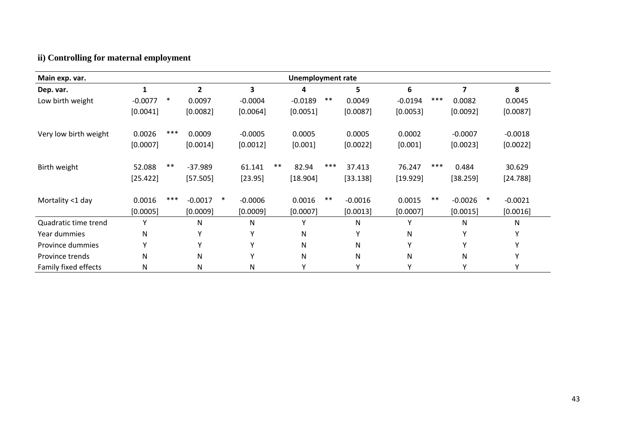# **ii) Controlling for maternal employment**

| Main exp. var.        | <b>Unemployment rate</b> |        |              |        |              |       |           |       |           |           |       |           |        |            |
|-----------------------|--------------------------|--------|--------------|--------|--------------|-------|-----------|-------|-----------|-----------|-------|-----------|--------|------------|
| Dep. var.             | 1                        |        | $\mathbf{2}$ |        | 3            |       | 4         |       | 5         | 6         |       | 7         |        | 8          |
| Low birth weight      | $-0.0077$                | $\ast$ | 0.0097       |        | $-0.0004$    |       | $-0.0189$ | $***$ | 0.0049    | $-0.0194$ | ***   | 0.0082    |        | 0.0045     |
|                       | [0.0041]                 |        | [0.0082]     |        | [0.0064]     |       | [0.0051]  |       | [0.0087]  | [0.0053]  |       | [0.0092]  |        | [0.0087]   |
| Very low birth weight | 0.0026                   | ***    | 0.0009       |        | $-0.0005$    |       | 0.0005    |       | 0.0005    | 0.0002    |       | $-0.0007$ |        | $-0.0018$  |
|                       | [0.0007]                 |        | [0.0014]     |        | [0.0012]     |       | [0.001]   |       | [0.0022]  | [0.001]   |       | [0.0023]  |        | [0.0022]   |
| Birth weight          | 52.088                   | $***$  | $-37.989$    |        | 61.141       | $***$ | 82.94     | ***   | 37.413    | 76.247    | $***$ | 0.484     |        | 30.629     |
|                       | [25.422]                 |        | [57.505]     |        | [23.95]      |       | [18.904]  |       | [33.138]  | [19.929]  |       | [38.259]  |        | $[24.788]$ |
| Mortality <1 day      | 0.0016                   | ***    | $-0.0017$    | $\ast$ | $-0.0006$    |       | 0.0016    | $***$ | $-0.0016$ | 0.0015    | $***$ | $-0.0026$ | $\ast$ | $-0.0021$  |
|                       | [0.0005]                 |        | [0.0009]     |        | [0.0009]     |       | [0.0007]  |       | [0.0013]  | [0.0007]  |       | [0.0015]  |        | [0.0016]   |
| Quadratic time trend  | Υ                        |        | N            |        | N            |       | ۷         |       | N         | Υ         |       | N         |        | N          |
| Year dummies          | N                        |        | γ            |        | v            |       | N         |       | Υ         | N         |       | Υ         |        | Υ          |
| Province dummies      | $\checkmark$             |        | $\mathsf{v}$ |        | $\checkmark$ |       | N         |       | N         | Y         |       | Υ         |        | Υ          |
| Province trends       | N                        |        | N            |        | Y            |       | N         |       | N         | N         |       | N         |        | Υ          |
| Family fixed effects  | N                        |        | N            |        | N            |       | $\vee$    |       | Υ         | Y         |       | Υ         |        | Υ          |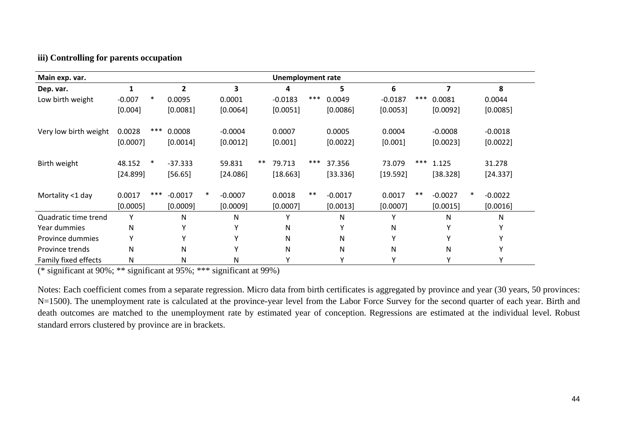#### **iii) Controlling for parents occupation**

| Main exp. var.        | <b>Unemployment rate</b> |        |                |        |                         |       |           |       |           |           |       |           |           |
|-----------------------|--------------------------|--------|----------------|--------|-------------------------|-------|-----------|-------|-----------|-----------|-------|-----------|-----------|
| Dep. var.             | 1                        |        | $\overline{2}$ |        | $\overline{\mathbf{3}}$ |       | 4         |       | 5         | 6         |       | 7         | 8         |
| Low birth weight      | $-0.007$                 | $\ast$ | 0.0095         |        | 0.0001                  |       | $-0.0183$ | ***   | 0.0049    | $-0.0187$ | ***   | 0.0081    | 0.0044    |
|                       | [0.004]                  |        | [0.0081]       |        | [0.0064]                |       | [0.0051]  |       | [0.0086]  | [0.0053]  |       | [0.0092]  | [0.0085]  |
| Very low birth weight | 0.0028                   | ***    | 0.0008         |        | $-0.0004$               |       | 0.0007    |       | 0.0005    | 0.0004    |       | $-0.0008$ | $-0.0018$ |
|                       | [0.0007]                 |        | [0.0014]       |        | [0.0012]                |       | [0.001]   |       | [0.0022]  | [0.001]   |       | [0.0023]  | [0.0022]  |
| Birth weight          | 48.152                   | $\ast$ | $-37.333$      |        | 59.831                  | $***$ | 79.713    | ***   | 37.356    | 73.079    | ***   | 1.125     | 31.278    |
|                       | [24.899]                 |        | [56.65]        |        | [24.086]                |       | [18.663]  |       | [33.336]  | [19.592]  |       | [38.328]  | [24.337]  |
| Mortality <1 day      | 0.0017                   | ***    | $-0.0017$      | $\ast$ | $-0.0007$               |       | 0.0018    | $***$ | $-0.0017$ | 0.0017    | $***$ | $-0.0027$ | $-0.0022$ |
|                       | [0.0005]                 |        | [0.0009]       |        | [0.0009]                |       | [0.0007]  |       | [0.0013]  | [0.0007]  |       | [0.0015]  | [0.0016]  |
| Quadratic time trend  | Y                        |        | N              |        | N                       |       | v         |       | N         | ۷         |       | N         | N         |
| Year dummies          | N                        |        | Y              |        | Υ                       |       | N         |       | Υ         | N         |       |           | v         |
| Province dummies      | Υ                        |        | Y              |        | Υ                       |       | N         |       | N         | Υ         |       |           | v         |
| Province trends       | N                        |        | N              |        | Υ                       |       | N         |       | ${\sf N}$ | N         |       | N         | ٧         |
| Family fixed effects  | N                        |        | Ν              |        | N                       |       | Y         |       | Υ         | Υ         |       | Υ         | Y         |

(\* significant at 90%; \*\* significant at 95%; \*\*\* significant at 99%)

Notes: Each coefficient comes from a separate regression. Micro data from birth certificates is aggregated by province and year (30 years, 50 provinces: N=1500). The unemployment rate is calculated at the province-year level from the Labor Force Survey for the second quarter of each year. Birth and death outcomes are matched to the unemployment rate by estimated year of conception. Regressions are estimated at the individual level. Robust standard errors clustered by province are in brackets.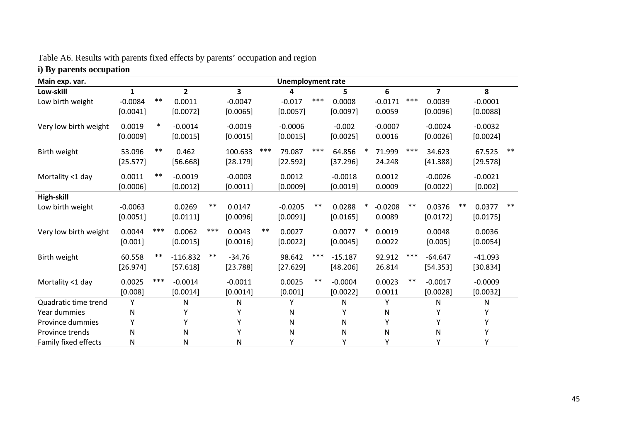| Table A6. Results with parents fixed effects by parents' occupation and region |  |  |  |
|--------------------------------------------------------------------------------|--|--|--|
|                                                                                |  |  |  |

# **i) By parents occupation**

| Main exp. var.        | <b>Unemployment rate</b> |        |              |       |                         |       |           |       |           |        |           |       |                |       |           |       |
|-----------------------|--------------------------|--------|--------------|-------|-------------------------|-------|-----------|-------|-----------|--------|-----------|-------|----------------|-------|-----------|-------|
| Low-skill             | 1                        |        | $\mathbf{2}$ |       | $\overline{\mathbf{3}}$ |       | 4         |       | 5.        |        | 6         |       | $\overline{7}$ |       | 8         |       |
| Low birth weight      | $-0.0084$                | $***$  | 0.0011       |       | $-0.0047$               |       | $-0.017$  | ***   | 0.0008    |        | $-0.0171$ | $***$ | 0.0039         |       | $-0.0001$ |       |
|                       | [0.0041]                 |        | [0.0072]     |       | [0.0065]                |       | [0.0057]  |       | [0.0097]  |        | 0.0059    |       | [0.0096]       |       | [0.0088]  |       |
| Very low birth weight | 0.0019                   | $\ast$ | $-0.0014$    |       | $-0.0019$               |       | $-0.0006$ |       | $-0.002$  |        | $-0.0007$ |       | $-0.0024$      |       | $-0.0032$ |       |
|                       | [0.0009]                 |        | [0.0015]     |       | [0.0015]                |       | [0.0015]  |       | [0.0025]  |        | 0.0016    |       | [0.0026]       |       | [0.0024]  |       |
| Birth weight          | 53.096                   | $***$  | 0.462        |       | 100.633                 | ***   | 79.087    | ***   | 64.856    | ∗      | 71.999    | ***   | 34.623         |       | 67.525    | $***$ |
|                       | [25.577]                 |        | [56.668]     |       | [28.179]                |       | [22.592]  |       | [37.296]  |        | 24.248    |       | [41.388]       |       | [29.578]  |       |
| Mortality <1 day      | 0.0011                   | $***$  | $-0.0019$    |       | $-0.0003$               |       | 0.0012    |       | $-0.0018$ |        | 0.0012    |       | $-0.0026$      |       | $-0.0021$ |       |
|                       | [0.0006]                 |        | [0.0012]     |       | [0.0011]                |       | [0.0009]  |       | [0.0019]  |        | 0.0009    |       | [0.0022]       |       | [0.002]   |       |
| High-skill            |                          |        |              |       |                         |       |           |       |           |        |           |       |                |       |           |       |
| Low birth weight      | $-0.0063$                |        | 0.0269       | $***$ | 0.0147                  |       | $-0.0205$ | $***$ | 0.0288    | $\ast$ | $-0.0208$ | $***$ | 0.0376         | $***$ | 0.0377    | $***$ |
|                       | [0.0051]                 |        | [0.0111]     |       | [0.0096]                |       | [0.0091]  |       | [0.0165]  |        | 0.0089    |       | [0.0172]       |       | [0.0175]  |       |
| Very low birth weight | 0.0044                   | $***$  | 0.0062       | $***$ | 0.0043                  | $***$ | 0.0027    |       | 0.0077    | $\ast$ | 0.0019    |       | 0.0048         |       | 0.0036    |       |
|                       | [0.001]                  |        | [0.0015]     |       | [0.0016]                |       | [0.0022]  |       | [0.0045]  |        | 0.0022    |       | [0.005]        |       | [0.0054]  |       |
| Birth weight          | 60.558                   | $***$  | $-116.832$   | $***$ | $-34.76$                |       | 98.642    | $***$ | $-15.187$ |        | 92.912    | $***$ | $-64.647$      |       | $-41.093$ |       |
|                       | [26.974]                 |        | [57.618]     |       | [23.788]                |       | [27.629]  |       | [48.206]  |        | 26.814    |       | [54.353]       |       | [30.834]  |       |
| Mortality <1 day      | 0.0025                   | $***$  | $-0.0014$    |       | $-0.0011$               |       | 0.0025    | $***$ | $-0.0004$ |        | 0.0023    | $***$ | $-0.0017$      |       | $-0.0009$ |       |
|                       | [0.008]                  |        | [0.0014]     |       | [0.0014]                |       | [0.001]   |       | [0.0022]  |        | 0.0011    |       | [0.0028]       |       | [0.0032]  |       |
| Quadratic time trend  | Υ                        |        | N            |       | N                       |       | Υ         |       | N         |        | Y         |       | N              |       | N         |       |
| Year dummies          | N                        |        |              |       |                         |       | N         |       | Υ         |        | N         |       | Υ              |       | Υ         |       |
| Province dummies      | Υ                        |        | Υ            |       | Υ                       |       | N         |       | ${\sf N}$ |        | Υ         |       | Υ              |       | Υ         |       |
| Province trends       | N                        |        | N            |       | Υ                       |       | N         |       | N         |        | N         |       | N              |       | Υ         |       |
| Family fixed effects  | N                        |        | N            |       | Ν                       |       | γ         |       | Υ         |        | Υ         |       | Υ              |       | Υ         |       |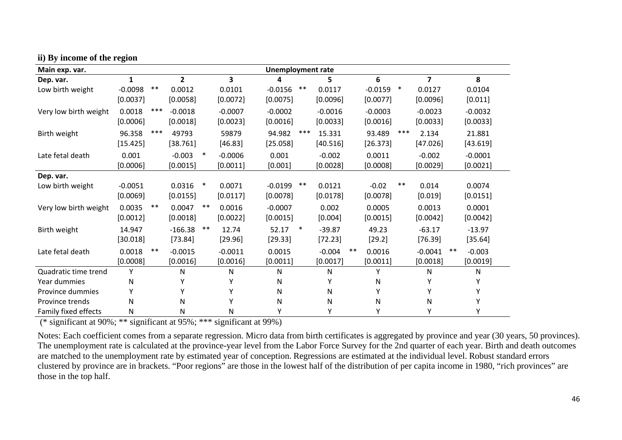| Main exp. var.        | <b>Unemployment rate</b> |       |                |        |           |  |           |        |           |       |           |        |                         |       |           |  |
|-----------------------|--------------------------|-------|----------------|--------|-----------|--|-----------|--------|-----------|-------|-----------|--------|-------------------------|-------|-----------|--|
| Dep. var.             | 1                        |       | $\overline{2}$ |        | 3         |  | Δ         |        | 5         |       | 6         |        | $\overline{\mathbf{z}}$ |       | 8         |  |
| Low birth weight      | $-0.0098$                | $***$ | 0.0012         |        | 0.0101    |  | $-0.0156$ | $***$  | 0.0117    |       | $-0.0159$ | $\ast$ | 0.0127                  |       | 0.0104    |  |
|                       | [0.0037]                 |       | [0.0058]       |        | [0.0072]  |  | [0.0075]  |        | [0.0096]  |       | [0.0077]  |        | [0.0096]                |       | [0.011]   |  |
| Very low birth weight | 0.0018                   | ***   | $-0.0018$      |        | $-0.0007$ |  | $-0.0002$ |        | $-0.0016$ |       | $-0.0003$ |        | $-0.0023$               |       | $-0.0032$ |  |
|                       | [0.0006]                 |       | [0.0018]       |        | [0.0023]  |  | [0.0016]  |        | [0.0033]  |       | [0.0016]  |        | [0.0033]                |       | [0.0033]  |  |
| Birth weight          | 96.358                   | ***   | 49793          |        | 59879     |  | 94.982    | ***    | 15.331    |       | 93.489    | ***    | 2.134                   |       | 21.881    |  |
|                       | [15.425]                 |       | [38.761]       |        | [46.83]   |  | [25.058]  |        | [40.516]  |       | [26.373]  |        | [47.026]                |       | [43.619]  |  |
| Late fetal death      | 0.001                    |       | $-0.003$       | $\ast$ | $-0.0006$ |  | 0.001     |        | $-0.002$  |       | 0.0011    |        | $-0.002$                |       | $-0.0001$ |  |
|                       | [0.0006]                 |       | [0.0015]       |        | [0.0011]  |  | [0.001]   |        | [0.0028]  |       | [0.0008]  |        | [0.0029]                |       | [0.0021]  |  |
| Dep. var.             |                          |       |                |        |           |  |           |        |           |       |           |        |                         |       |           |  |
| Low birth weight      | $-0.0051$                |       | 0.0316         | $\ast$ | 0.0071    |  | $-0.0199$ | $***$  | 0.0121    |       | $-0.02$   | $***$  | 0.014                   |       | 0.0074    |  |
|                       | [0.0069]                 |       | [0.0155]       |        | [0.0117]  |  | [0.0078]  |        | [0.0178]  |       | [0.0078]  |        | [0.019]                 |       | [0.0151]  |  |
| Very low birth weight | 0.0035                   | $***$ | 0.0047         | $***$  | 0.0016    |  | $-0.0007$ |        | 0.002     |       | 0.0005    |        | 0.0013                  |       | 0.0001    |  |
|                       | [0.0012]                 |       | [0.0018]       |        | [0.0022]  |  | [0.0015]  |        | [0.004]   |       | [0.0015]  |        | [0.0042]                |       | [0.0042]  |  |
| Birth weight          | 14.947                   |       | $-166.38$      | $***$  | 12.74     |  | 52.17     | $\ast$ | $-39.87$  |       | 49.23     |        | $-63.17$                |       | $-13.97$  |  |
|                       | [30.018]                 |       | [73.84]        |        | [29.96]   |  | [29.33]   |        | [72.23]   |       | [29.2]    |        | [76.39]                 |       | [35.64]   |  |
| Late fetal death      | 0.0018                   | $***$ | $-0.0015$      |        | $-0.0011$ |  | 0.0015    |        | $-0.004$  | $***$ | 0.0016    |        | $-0.0041$               | $***$ | $-0.003$  |  |
|                       | [0.0008]                 |       | [0.0016]       |        | [0.0016]  |  | [0.0011]  |        | [0.0017]  |       | [0.0011]  |        | [0.0018]                |       | [0.0019]  |  |
| Quadratic time trend  | Υ                        |       | N              |        | N         |  | ${\sf N}$ |        | N         |       | Υ         |        | N                       |       | ${\sf N}$ |  |
| Year dummies          | Ν                        |       | Υ              |        |           |  | N         |        | Υ         |       | N         |        | Υ                       |       | Υ         |  |
| Province dummies      |                          |       | Υ              |        |           |  | N         |        | Ν         |       | Y         |        | Y                       |       | Υ         |  |
| Province trends       | N                        |       | N              |        |           |  | N         |        | N         |       | N         |        | Ν                       |       | Υ         |  |
| Family fixed effects  | Ν                        |       | Ν              |        | N         |  | Υ         |        | Υ         |       | Y         |        | Υ                       |       | Υ         |  |

#### **ii) By income of the region**

(\* significant at 90%; \*\* significant at 95%; \*\*\* significant at 99%)

Notes: Each coefficient comes from a separate regression. Micro data from birth certificates is aggregated by province and year (30 years, 50 provinces). The unemployment rate is calculated at the province-year level from the Labor Force Survey for the 2nd quarter of each year. Birth and death outcomes are matched to the unemployment rate by estimated year of conception. Regressions are estimated at the individual level. Robust standard errors clustered by province are in brackets. "Poor regions" are those in the lowest half of the distribution of per capita income in 1980, "rich provinces" are those in the top half.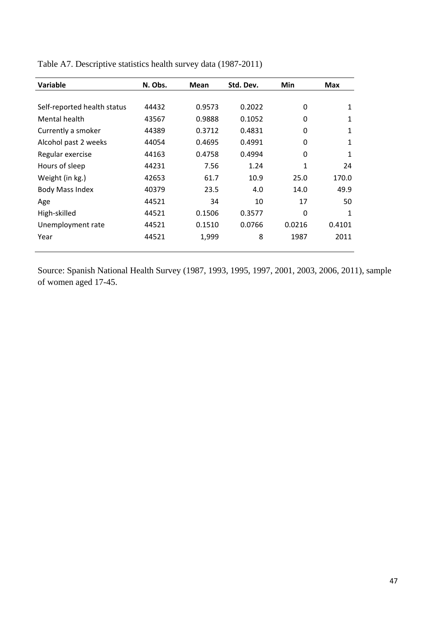| <b>Variable</b>             | N. Obs. | Mean   | Std. Dev. | Min      | <b>Max</b> |
|-----------------------------|---------|--------|-----------|----------|------------|
|                             |         |        |           |          |            |
| Self-reported health status | 44432   | 0.9573 | 0.2022    | 0        | 1          |
| Mental health               | 43567   | 0.9888 | 0.1052    | $\Omega$ | 1          |
| Currently a smoker          | 44389   | 0.3712 | 0.4831    | $\Omega$ | 1          |
| Alcohol past 2 weeks        | 44054   | 0.4695 | 0.4991    | $\Omega$ | 1          |
| Regular exercise            | 44163   | 0.4758 | 0.4994    | $\Omega$ | 1          |
| Hours of sleep              | 44231   | 7.56   | 1.24      | 1        | 24         |
| Weight (in kg.)             | 42653   | 61.7   | 10.9      | 25.0     | 170.0      |
| <b>Body Mass Index</b>      | 40379   | 23.5   | 4.0       | 14.0     | 49.9       |
| Age                         | 44521   | 34     | 10        | 17       | 50         |
| High-skilled                | 44521   | 0.1506 | 0.3577    | $\Omega$ | 1          |
| Unemployment rate           | 44521   | 0.1510 | 0.0766    | 0.0216   | 0.4101     |
| Year                        | 44521   | 1,999  | 8         | 1987     | 2011       |
|                             |         |        |           |          |            |

Table A7. Descriptive statistics health survey data (1987-2011)

Source: Spanish National Health Survey (1987, 1993, 1995, 1997, 2001, 2003, 2006, 2011), sample of women aged 17-45.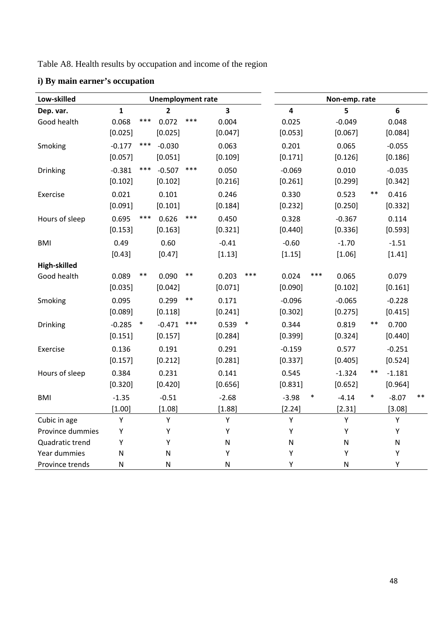Table A8. Health results by occupation and income of the region

| Low-skilled      |              |        | <b>Unemployment rate</b> |       |                         |     | Non-emp. rate |        |              |        |           |      |  |
|------------------|--------------|--------|--------------------------|-------|-------------------------|-----|---------------|--------|--------------|--------|-----------|------|--|
| Dep. var.        | $\mathbf{1}$ |        | 2                        |       | $\overline{\mathbf{3}}$ |     | 4             |        | 5            |        | 6         |      |  |
| Good health      | 0.068        | ***    | 0.072                    | ***   | 0.004                   |     | 0.025         |        | $-0.049$     |        | 0.048     |      |  |
|                  | [0.025]      |        | [0.025]                  |       | [0.047]                 |     | [0.053]       |        | [0.067]      |        | [0.084]   |      |  |
| Smoking          | $-0.177$     | $***$  | $-0.030$                 |       | 0.063                   |     | 0.201         |        | 0.065        |        | $-0.055$  |      |  |
|                  | [0.057]      |        | [0.051]                  |       | [0.109]                 |     | [0.171]       |        | [0.126]      |        | [0.186]   |      |  |
| Drinking         | $-0.381$     | $***$  | $-0.507$                 | $***$ | 0.050                   |     | $-0.069$      |        | 0.010        |        | $-0.035$  |      |  |
|                  | [0.102]      |        | [0.102]                  |       | [0.216]                 |     | [0.261]       |        | [0.299]      |        | [0.342]   |      |  |
| Exercise         | 0.021        |        | 0.101                    |       | 0.246                   |     | 0.330         |        | 0.523        | $***$  | 0.416     |      |  |
|                  | [0.091]      |        | [0.101]                  |       | [0.184]                 |     | [0.232]       |        | [0.250]      |        | [0.332]   |      |  |
| Hours of sleep   | 0.695        | ***    | 0.626                    | ***   | 0.450                   |     | 0.328         |        | $-0.367$     |        | 0.114     |      |  |
|                  | [0.153]      |        | [0.163]                  |       | [0.321]                 |     | [0.440]       |        | [0.336]      |        | [0.593]   |      |  |
| <b>BMI</b>       | 0.49         |        | 0.60                     |       | $-0.41$                 |     | $-0.60$       |        | $-1.70$      |        | $-1.51$   |      |  |
|                  | [0.43]       |        | [0.47]                   |       | [1.13]                  |     | [1.15]        |        | [1.06]       |        | [1.41]    |      |  |
| High-skilled     |              |        |                          |       |                         |     |               |        |              |        |           |      |  |
| Good health      | 0.089        | $***$  | 0.090                    | $***$ | 0.203                   | *** | 0.024         | ***    | 0.065        |        | 0.079     |      |  |
|                  | [0.035]      |        | [0.042]                  |       | [0.071]                 |     | [0.090]       |        | [0.102]      |        | [0.161]   |      |  |
| Smoking          | 0.095        |        | 0.299                    | $***$ | 0.171                   |     | $-0.096$      |        | $-0.065$     |        | $-0.228$  |      |  |
|                  | [0.089]      |        | [0.118]                  |       | [0.241]                 |     | [0.302]       |        | [0.275]      |        | [0.415]   |      |  |
| <b>Drinking</b>  | $-0.285$     | $\ast$ | $-0.471$                 | ***   | $0.539$ *               |     | 0.344         |        | 0.819        | $***$  | 0.700     |      |  |
|                  | [0.151]      |        | [0.157]                  |       | [0.284]                 |     | [0.399]       |        | [0.324]      |        | [0.440]   |      |  |
| Exercise         | 0.136        |        | 0.191                    |       | 0.291                   |     | $-0.159$      |        | 0.577        |        | $-0.251$  |      |  |
|                  | [0.157]      |        | [0.212]                  |       | [0.281]                 |     | [0.337]       |        | [0.405]      |        | [0.524]   |      |  |
| Hours of sleep   | 0.384        |        | 0.231                    |       | 0.141                   |     | 0.545         |        | $-1.324$     | **     | $-1.181$  |      |  |
|                  | [0.320]      |        | [0.420]                  |       | [0.656]                 |     | [0.831]       |        | [0.652]      |        | [0.964]   |      |  |
| <b>BMI</b>       | $-1.35$      |        | $-0.51$                  |       | $-2.68$                 |     | $-3.98$       | $\ast$ | $-4.14$      | $\ast$ | $-8.07$   | $**$ |  |
|                  | [1.00]       |        | [1.08]                   |       | [1.88]                  |     | [2.24]        |        | [2.31]       |        | [3.08]    |      |  |
| Cubic in age     | Υ            |        | Υ                        |       | Υ                       |     | Υ             |        | Υ            |        | Υ         |      |  |
| Province dummies | Υ            |        | Y                        |       | Υ                       |     | Υ             |        | Υ            |        | Υ         |      |  |
| Quadratic trend  | Υ            |        | Υ                        |       | ${\sf N}$               |     | ${\sf N}$     |        | ${\sf N}$    |        | ${\sf N}$ |      |  |
| Year dummies     | ${\sf N}$    |        | ${\sf N}$                |       | Υ                       |     | Υ             |        | Υ            |        | Υ         |      |  |
| Province trends  | Ν            |        | ${\sf N}$                |       | ${\sf N}$               |     | Υ             |        | $\mathsf{N}$ |        | Υ         |      |  |

# **i) By main earner's occupation**